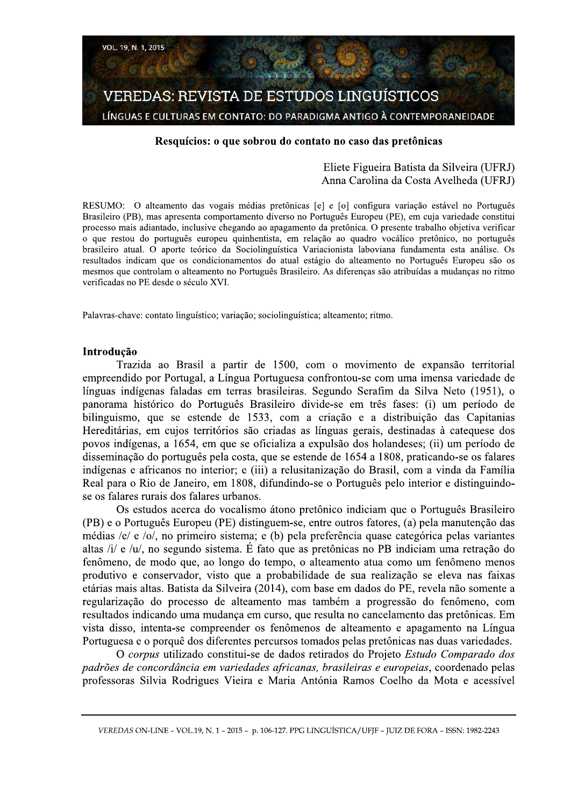

## Resquícios: o que sobrou do contato no caso das pretônicas

# Eliete Figueira Batista da Silveira (UFRJ) Anna Carolina da Costa Avelheda (UFRJ)

RESUMO: O alteamento das vogais médias pretônicas [e] e [o] configura variação estável no Português Brasileiro (PB), mas apresenta comportamento diverso no Português Europeu (PE), em cuja variedade constitui processo mais adiantado, inclusive chegando ao apagamento da pretônica. O presente trabalho objetiva verificar o que restou do português europeu quinhentista, em relação ao quadro vocálico pretônico, no português brasileiro atual. O aporte teórico da Sociolinguística Variacionista laboviana fundamenta esta análise. Os resultados indicam que os condicionamentos do atual estágio do alteamento no Português Europeu são os mesmos que controlam o alteamento no Português Brasileiro. As diferenças são atribuídas a mudanças no ritmo verificadas no PE desde o século XVI.

Palavras-chave: contato linguístico; variação; sociolinguística; alteamento; ritmo.

## Introducão

Trazida ao Brasil a partir de 1500, com o movimento de expansão territorial empreendido por Portugal, a Língua Portuguesa confrontou-se com uma imensa variedade de línguas indígenas faladas em terras brasileiras. Segundo Serafim da Silva Neto (1951), o panorama histórico do Português Brasileiro divide-se em três fases: (i) um período de bilinguismo, que se estende de 1533, com a criação e a distribuição das Capitanias Hereditárias, em cujos territórios são criadas as línguas gerais, destinadas à catequese dos povos indígenas, a 1654, em que se oficializa a expulsão dos holandeses; (ii) um período de disseminação do português pela costa, que se estende de 1654 a 1808, praticando-se os falares indígenas e africanos no interior; e (iii) a relusitanização do Brasil, com a vinda da Família Real para o Rio de Janeiro, em 1808, difundindo-se o Português pelo interior e distinguindose os falares rurais dos falares urbanos.

Os estudos acerca do vocalismo átono pretônico indiciam que o Português Brasileiro (PB) e o Português Europeu (PE) distinguem-se, entre outros fatores, (a) pela manutenção das médias /e/ e /o/, no primeiro sistema; e (b) pela preferência quase categórica pelas variantes altas /i/ e /u/, no segundo sistema. É fato que as pretônicas no PB indiciam uma retração do fenômeno, de modo que, ao longo do tempo, o alteamento atua como um fenômeno menos produtivo e conservador, visto que a probabilidade de sua realização se eleva nas faixas etárias mais altas. Batista da Silveira (2014), com base em dados do PE, revela não somente a regularização do processo de alteamento mas também a progressão do fenômeno, com resultados indicando uma mudança em curso, que resulta no cancelamento das pretônicas. Em vista disso, intenta-se compreender os fenômenos de alteamento e apagamento na Língua Portuguesa e o porquê dos diferentes percursos tomados pelas pretônicas nas duas variedades.

O corpus utilizado constitui-se de dados retirados do Projeto Estudo Comparado dos padrões de concordância em variedades africanas, brasileiras e europeias, coordenado pelas professoras Silvia Rodrigues Vieira e Maria Antónia Ramos Coelho da Mota e acessível

VEREDAS ON-LINE - VOL.19, N. 1 - 2015 - p. 106-127. PPG LINGUÍSTICA/UFIF - JUIZ DE FORA - ISSN: 1982-2243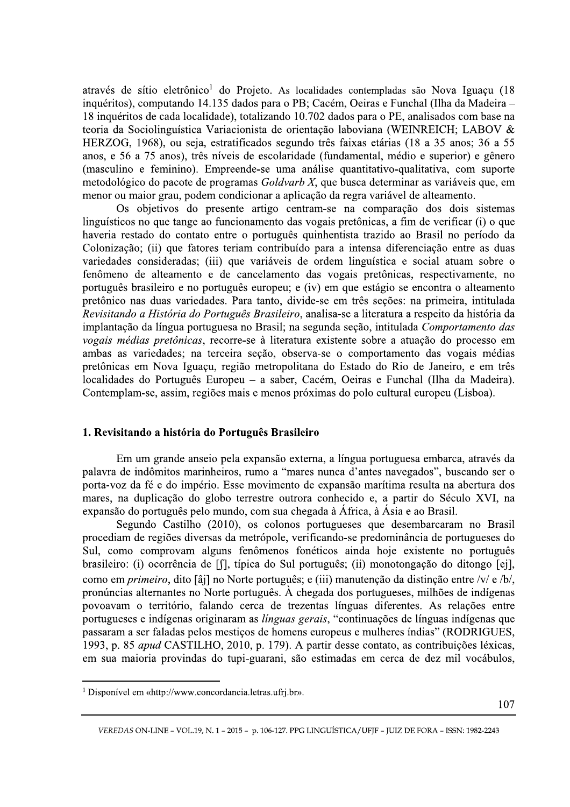através de sítio eletrônico<sup>1</sup> do Projeto. As localidades contempladas são Nova Iguaçu (18 inquéritos), computando 14.135 dados para o PB; Cacém, Oeiras e Funchal (Ilha da Madeira -18 inquéritos de cada localidade), totalizando 10.702 dados para o PE, analisados com base na teoria da Sociolinguística Variacionista de orientação laboviana (WEINREICH; LABOV & HERZOG, 1968), ou seja, estratificados segundo três faixas etárias (18 a 35 anos: 36 a 55 anos, e 56 a 75 anos), três níveis de escolaridade (fundamental, médio e superior) e gênero (masculino e feminino). Empreende-se uma análise quantitativo-qualitativa, com suporte metodológico do pacote de programas Goldvarb X, que busca determinar as variáveis que, em menor ou maior grau, podem condicionar a aplicação da regra variável de alteamento.

Os objetivos do presente artigo centram-se na comparação dos dois sistemas linguísticos no que tange ao funcionamento das vogais pretônicas, a fim de verificar (i) o que haveria restado do contato entre o português quinhentista trazido ao Brasil no período da Colonização; (ii) que fatores teriam contribuído para a intensa diferenciação entre as duas variedades consideradas; (iii) que variáveis de ordem linguística e social atuam sobre o fenômeno de alteamento e de cancelamento das vogais pretônicas, respectivamente, no português brasileiro e no português europeu; e (iv) em que estágio se encontra o alteamento pretônico nas duas variedades. Para tanto, divide-se em três secões: na primeira, intitulada Revisitando a História do Português Brasileiro, analisa-se a literatura a respeito da história da implantação da língua portuguesa no Brasil; na segunda seção, intitulada Comportamento das vogais médias pretônicas, recorre-se à literatura existente sobre a atuação do processo em ambas as variedades; na terceira seção, observa-se o comportamento das vogais médias pretônicas em Nova Iguaçu, região metropolitana do Estado do Rio de Janeiro, e em três localidades do Português Europeu – a saber, Cacém, Oeiras e Funchal (Ilha da Madeira). Contemplam-se, assim, regiões mais e menos próximas do polo cultural europeu (Lisboa).

#### 1. Revisitando a história do Português Brasileiro

Em um grande anseio pela expansão externa, a língua portuguesa embarca, através da palavra de indômitos marinheiros, rumo a "mares nunca d'antes navegados", buscando ser o porta-voz da fé e do império. Esse movimento de expansão marítima resulta na abertura dos mares, na duplicação do globo terrestre outrora conhecido e, a partir do Século XVI, na expansão do português pelo mundo, com sua chegada à África, à Ásia e ao Brasil.

Segundo Castilho (2010), os colonos portugueses que desembarcaram no Brasil procediam de regiões diversas da metrópole, verificando-se predominância de portugueses do Sul, como comprovam alguns fenômenos fonéticos ainda hoje existente no português brasileiro: (i) ocorrência de [f], típica do Sul português; (ii) monotongação do ditongo [ej], como em *primeiro*, dito [âj] no Norte português; e (iii) manutenção da distinção entre /v/ e /b/, pronúncias alternantes no Norte português. À chegada dos portugueses, milhões de indígenas povoavam o território, falando cerca de trezentas línguas diferentes. As relações entre portugueses e indígenas originaram as línguas gerais, "continuações de línguas indígenas que passaram a ser faladas pelos mestiços de homens europeus e mulheres índias" (RODRIGUES, 1993, p. 85 *apud* CASTILHO, 2010, p. 179). A partir desse contato, as contribuições léxicas, em sua maioria provindas do tupi-guarani, são estimadas em cerca de dez mil vocábulos,

<sup>&</sup>lt;sup>1</sup> Disponível em «http://www.concordancia.letras.ufrj.br».

VEREDAS ON-LINE - VOL.19, N. 1 - 2015 - p. 106-127. PPG LINGUÍSTICA/UFIF - JUIZ DE FORA - ISSN: 1982-2243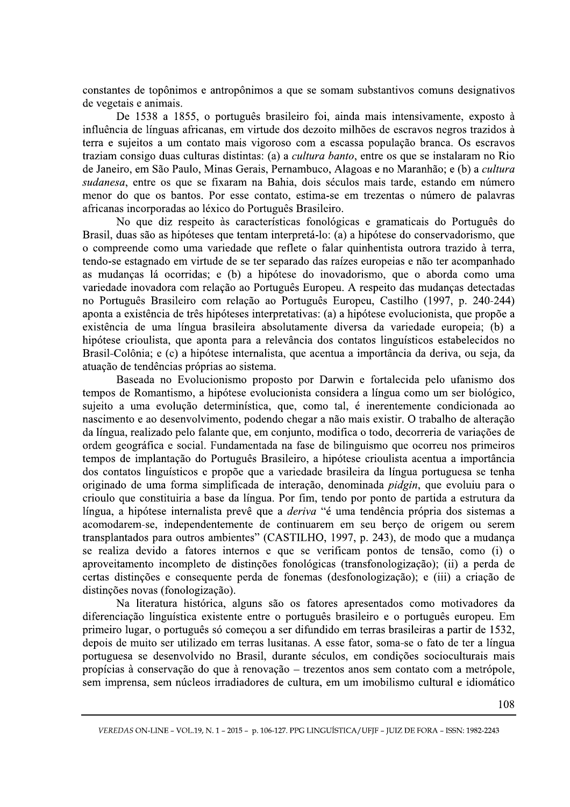constantes de topônimos e antropônimos a que se somam substantivos comuns designativos de vegetais e animais.

De 1538 a 1855, o português brasileiro foi, ainda mais intensivamente, exposto à influência de línguas africanas, em virtude dos dezoito milhões de escravos negros trazidos à terra e sujeitos a um contato mais vigoroso com a escassa população branca. Os escravos traziam consigo duas culturas distintas: (a) a *cultura banto*, entre os que se instalaram no Rio de Janeiro, em São Paulo, Minas Gerais, Pernambuco, Alagoas e no Maranhão; e (b) a cultura sudanesa, entre os que se fixaram na Bahia, dois séculos mais tarde, estando em número menor do que os bantos. Por esse contato, estima-se em trezentas o número de palavras africanas incorporadas ao léxico do Português Brasileiro.

No que diz respeito às características fonológicas e gramaticais do Português do Brasil, duas são as hipóteses que tentam interpretá-lo: (a) a hipótese do conservadorismo, que o compreende como uma variedade que reflete o falar quinhentista outrora trazido à terra, tendo-se estagnado em virtude de se ter separado das raízes europeias e não ter acompanhado as mudanças lá ocorridas; e (b) a hipótese do inovadorismo, que o aborda como uma variedade inovadora com relação ao Português Europeu. A respeito das mudanças detectadas no Português Brasileiro com relação ao Português Europeu, Castilho (1997, p. 240-244) aponta a existência de três hipóteses interpretativas: (a) a hipótese evolucionista, que propõe a existência de uma língua brasileira absolutamente diversa da variedade europeia; (b) a hipótese crioulista, que aponta para a relevância dos contatos linguísticos estabelecidos no Brasil-Colônia; e (c) a hipótese internalista, que acentua a importância da deriva, ou seja, da atuação de tendências próprias ao sistema.

Baseada no Evolucionismo proposto por Darwin e fortalecida pelo ufanismo dos tempos de Romantismo, a hipótese evolucionista considera a língua como um ser biológico, sujeito a uma evolução determinística, que, como tal, é inerentemente condicionada ao nascimento e ao desenvolvimento, podendo chegar a não mais existir. O trabalho de alteração da língua, realizado pelo falante que, em conjunto, modifica o todo, decorreria de variações de ordem geográfica e social. Fundamentada na fase de bilinguismo que ocorreu nos primeiros tempos de implantação do Português Brasileiro, a hipótese crioulista acentua a importância dos contatos linguísticos e propõe que a variedade brasileira da língua portuguesa se tenha originado de uma forma simplificada de interação, denominada *pidgin*, que evoluiu para o crioulo que constituiria a base da língua. Por fim, tendo por ponto de partida a estrutura da língua, a hipótese internalista prevê que a *deriva* "é uma tendência própria dos sistemas a acomodarem-se, independentemente de continuarem em seu berço de origem ou serem transplantados para outros ambientes" (CASTILHO, 1997, p. 243), de modo que a mudança se realiza devido a fatores internos e que se verificam pontos de tensão, como (i) o aproveitamento incompleto de distinções fonológicas (transfonologização); (ii) a perda de certas distinções e consequente perda de fonemas (desfonologização); e (iii) a criação de distinções novas (fonologização).

Na literatura histórica, alguns são os fatores apresentados como motivadores da diferenciação linguística existente entre o português brasileiro e o português europeu. Em primeiro lugar, o português só começou a ser difundido em terras brasileiras a partir de 1532, depois de muito ser utilizado em terras lusitanas. A esse fator, soma-se o fato de ter a língua portuguesa se desenvolvido no Brasil, durante séculos, em condições socioculturais mais propícias à conservação do que à renovação – trezentos anos sem contato com a metrópole, sem imprensa, sem núcleos irradiadores de cultura, em um imobilismo cultural e idiomático

VEREDAS ON-LINE - VOL.19, N. 1 - 2015 - p. 106-127. PPG LINGUÍSTICA/UFIF - JUIZ DE FORA - ISSN: 1982-2243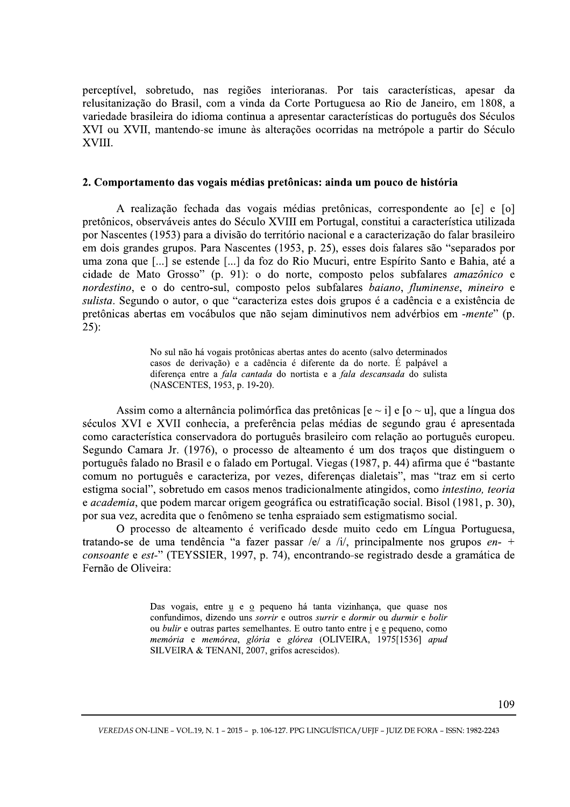perceptível, sobretudo, nas regiões interioranas. Por tais características, apesar da relusitanização do Brasil, com a vinda da Corte Portuguesa ao Rio de Janeiro, em 1808, a variedade brasileira do idioma continua a apresentar características do português dos Séculos XVI ou XVII, mantendo-se imune às alterações ocorridas na metrópole a partir do Século XVIII.

### 2. Comportamento das vogais médias pretônicas: ainda um pouco de história

A realização fechada das vogais médias pretônicas, correspondente ao [e] e [o] pretônicos, observáveis antes do Século XVIII em Portugal, constitui a característica utilizada por Nascentes (1953) para a divisão do território nacional e a caracterização do falar brasileiro em dois grandes grupos. Para Nascentes (1953, p. 25), esses dois falares são "separados por uma zona que [...] se estende [...] da foz do Rio Mucuri, entre Espírito Santo e Bahia, até a cidade de Mato Grosso" (p. 91): o do norte, composto pelos subfalares amazônico e nordestino, e o do centro-sul, composto pelos subfalares baiano, fluminense, mineiro e sulista. Segundo o autor, o que "caracteriza estes dois grupos é a cadência e a existência de pretônicas abertas em vocábulos que não sejam diminutivos nem advérbios em -mente" (p.  $25$ :

> No sul não há vogais protônicas abertas antes do acento (salvo determinados casos de derivação) e a cadência é diferente da do norte. É palpável a diferenca entre a *fala cantada* do nortista e a *fala descansada* do sulista (NASCENTES, 1953, p. 19-20).

Assim como a alternância polimórfica das pretônicas  $[e \sim i]$  e  $[0 \sim u]$ , que a língua dos séculos XVI e XVII conhecia, a preferência pelas médias de segundo grau é apresentada como característica conservadora do português brasileiro com relação ao português europeu. Segundo Camara Jr. (1976), o processo de alteamento é um dos tracos que distinguem o português falado no Brasil e o falado em Portugal. Viegas (1987, p. 44) afirma que é "bastante comum no português e caracteriza, por vezes, diferenças dialetais", mas "traz em si certo estigma social", sobretudo em casos menos tradicionalmente atingidos, como intestino, teoria e *academia*, que podem marcar origem geográfica ou estratificação social. Bisol (1981, p. 30), por sua vez, acredita que o fenômeno se tenha espraiado sem estigmatismo social.

O processo de alteamento é verificado desde muito cedo em Língua Portuguesa, tratando-se de uma tendência "a fazer passar /e/ a /i/, principalmente nos grupos  $en-$ + consoante e est-" (TEYSSIER, 1997, p. 74), encontrando-se registrado desde a gramática de Fernão de Oliveira:

> Das vogais, entre u e o pequeno há tanta vizinhança, que quase nos confundimos, dizendo uns sorrir e outros surrir e dormir ou durmir e bolir ou *bulir* e outras partes semelhantes. E outro tanto entre *i* e e pequeno, como memória e memórea, glória e glórea (OLIVEIRA, 1975[1536] apud SILVEIRA & TENANI, 2007, grifos acrescidos).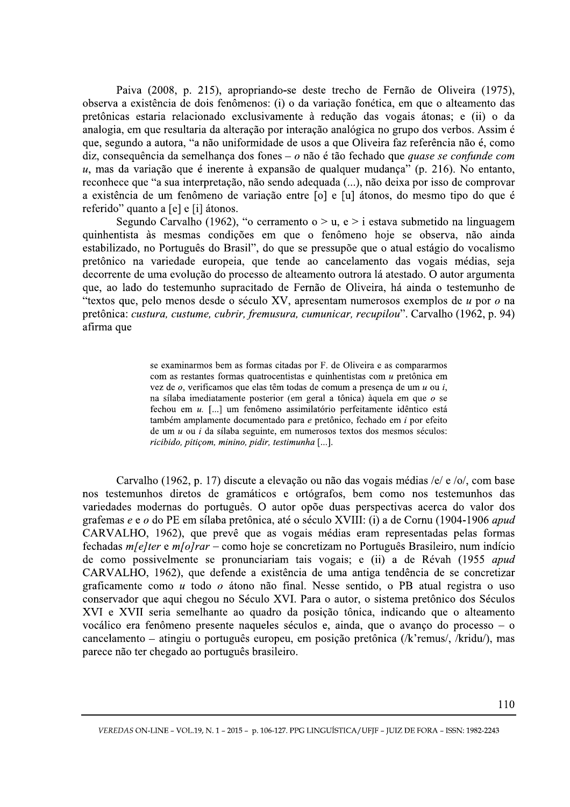Paiva (2008, p. 215), apropriando-se deste trecho de Fernão de Oliveira (1975), observa a existência de dois fenômenos: (i) o da variação fonética, em que o alteamento das pretônicas estaria relacionado exclusivamente à redução das vogais átonas; e (ii) o da analogia, em que resultaria da alteração por interação analógica no grupo dos verbos. Assim é que, segundo a autora, "a não uniformidade de usos a que Oliveira faz referência não é, como diz, consequência da semelhança dos fones –  $o$  não é tão fechado que *quase se confunde com*  $u$ , mas da variação que é inerente à expansão de qualquer mudança" (p. 216). No entanto, reconhece que "a sua interpretação, não sendo adequada (...), não deixa por isso de comprovar a existência de um fenômeno de variação entre [o] e [u] átonos, do mesmo tipo do que é referido" quanto a [e] e [i] átonos.

Segundo Carvalho (1962), "o cerramento o > u, e > i estava submetido na linguagem quinhentista às mesmas condições em que o fenômeno hoje se observa, não ainda estabilizado, no Português do Brasil", do que se pressupõe que o atual estágio do vocalismo pretônico na variedade europeia, que tende ao cancelamento das vogais médias, seja decorrente de uma evolução do processo de alteamento outrora lá atestado. O autor argumenta que, ao lado do testemunho supracitado de Fernão de Oliveira, há ainda o testemunho de "textos que, pelo menos desde o século XV, apresentam numerosos exemplos de u por o na pretônica: custura, custume, cubrir, fremusura, cumunicar, recupilou". Carvalho (1962, p. 94) afirma que

> se examinarmos bem as formas citadas por F. de Oliveira e as compararmos com as restantes formas quatrocentistas e quinhentistas com u pretônica em vez de  $o$ , verificamos que elas têm todas de comum a presenca de um  $u$  ou i, na sílaba imediatamente posterior (em geral a tônica) àquela em que  $\sigma$  se fechou em u. [...] um fenômeno assimilatório perfeitamente idêntico está também amplamente documentado para e pretônico, fechado em i por efeito de um  $u$  ou  $i$  da sílaba seguinte, em numerosos textos dos mesmos séculos: ricibido, pitiçom, minino, pidir, testimunha [...].

Carvalho (1962, p. 17) discute a elevação ou não das vogais médias /e/ e /o/, com base nos testemunhos diretos de gramáticos e ortógrafos, bem como nos testemunhos das variedades modernas do português. O autor opõe duas perspectivas acerca do valor dos grafemas e e o do PE em sílaba pretônica, até o século XVIII: (i) a de Cornu (1904-1906 apud CARVALHO, 1962), que prevê que as vogais médias eram representadas pelas formas fechadas  $m\ell$  elter e  $m\ell$  *n* $\ell$  - como hoje se concretizam no Português Brasileiro, num indício de como possivelmente se pronunciariam tais vogais; e (ii) a de Révah (1955 apud CARVALHO, 1962), que defende a existência de uma antiga tendência de se concretizar graficamente como u todo o átono não final. Nesse sentido, o PB atual registra o uso conservador que aqui chegou no Século XVI. Para o autor, o sistema pretônico dos Séculos XVI e XVII seria semelhante ao quadro da posição tônica, indicando que o alteamento vocálico era fenômeno presente naqueles séculos e, ainda, que o avanço do processo  $-$  o cancelamento – atingiu o português europeu, em posição pretônica (/k'remus/, /kridu/), mas parece não ter chegado ao português brasileiro.

VEREDAS ON-LINE - VOL.19, N. 1 - 2015 - p. 106-127. PPG LINGUÍSTICA/UFIF - JUIZ DE FORA - ISSN: 1982-2243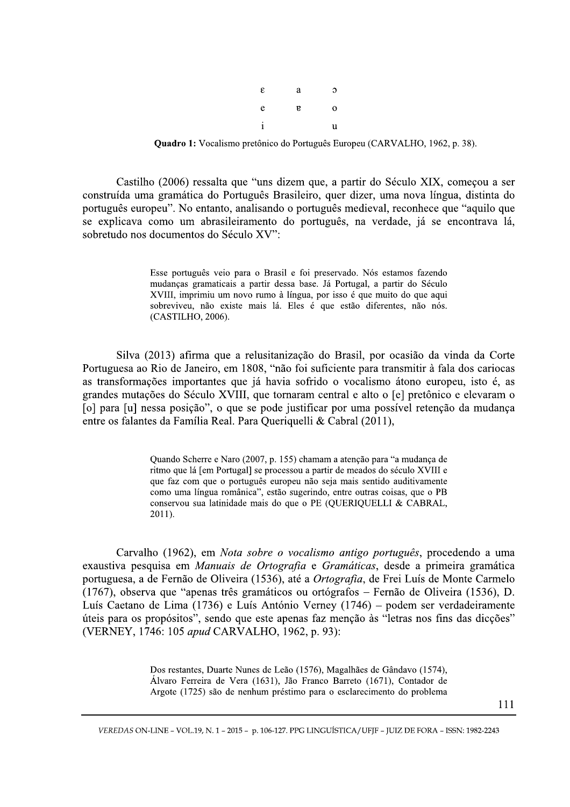| ε            | a            | э           |
|--------------|--------------|-------------|
| e            | $\mathbf{g}$ | $\mathbf 0$ |
| $\mathbf{i}$ |              | u           |

**Quadro 1:** Vocalismo pretônico do Português Europeu (CARVALHO, 1962, p. 38).

Castilho (2006) ressalta que "uns dizem que, a partir do Século XIX, começou a ser construída uma gramática do Português Brasileiro, quer dizer, uma nova língua, distinta do português europeu". No entanto, analisando o português medieval, reconhece que "aquilo que se explicava como um abrasileiramento do português, na verdade, já se encontrava lá, sobretudo nos documentos do Século XV":

> Esse português veio para o Brasil e foi preservado. Nós estamos fazendo mudanças gramaticais a partir dessa base. Já Portugal, a partir do Século XVIII, imprimiu um novo rumo à língua, por isso é que muito do que aqui sobreviveu, não existe mais lá. Eles é que estão diferentes, não nós. (CASTILHO, 2006).

Silva (2013) afirma que a relusitanização do Brasil, por ocasião da vinda da Corte Portuguesa ao Rio de Janeiro, em 1808, "não foi suficiente para transmitir à fala dos cariocas as transformações importantes que já havia sofrido o vocalismo átono europeu, isto é, as grandes mutações do Século XVIII, que tornaram central e alto o [e] pretônico e elevaram o [o] para [u] nessa posição", o que se pode justificar por uma possível retenção da mudança entre os falantes da Família Real. Para Queriquelli & Cabral (2011),

> Quando Scherre e Naro (2007, p. 155) chamam a atenção para "a mudança de ritmo que lá [em Portugal] se processou a partir de meados do século XVIII e que faz com que o português europeu não seja mais sentido auditivamente como uma língua românica", estão sugerindo, entre outras coisas, que o PB conservou sua latinidade mais do que o PE (QUERIQUELLI & CABRAL, 2011).

Carvalho (1962), em Nota sobre o vocalismo antigo português, procedendo a uma exaustiva pesquisa em Manuais de Ortografia e Gramáticas, desde a primeira gramática portuguesa, a de Fernão de Oliveira (1536), até a Ortografia, de Frei Luís de Monte Carmelo (1767), observa que "apenas três gramáticos ou ortógrafos - Fernão de Oliveira (1536), D. Luís Caetano de Lima (1736) e Luís António Verney (1746) – podem ser verdadeiramente úteis para os propósitos", sendo que este apenas faz menção às "letras nos fins das dicções" (VERNEY, 1746: 105 apud CARVALHO, 1962, p. 93):

> Dos restantes, Duarte Nunes de Leão (1576), Magalhães de Gândavo (1574), Álvaro Ferreira de Vera (1631), Jão Franco Barreto (1671), Contador de Argote (1725) são de nenhum préstimo para o esclarecimento do problema

> > 111

VEREDAS ON-LINE - VOL.19, N. 1 - 2015 - p. 106-127. PPG LINGUÍSTICA/UFIF - JUIZ DE FORA - ISSN: 1982-2243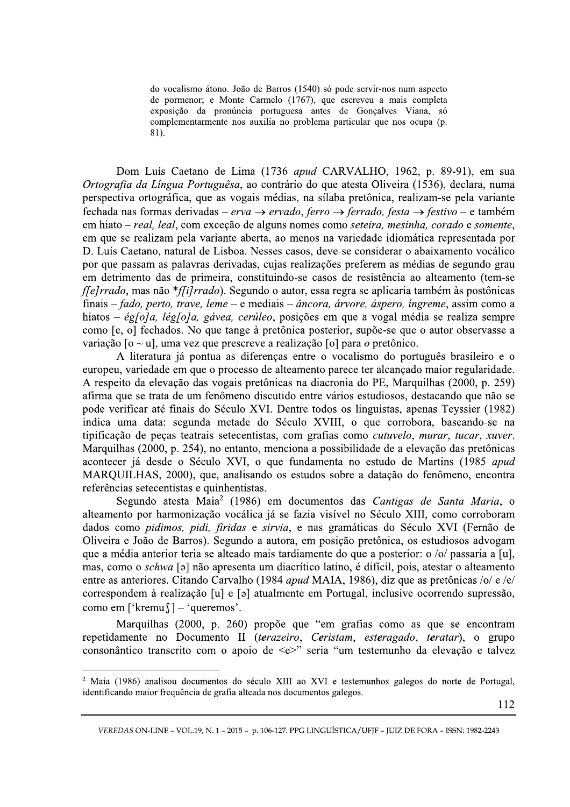do vocalismo átono. João de Barros (1540) só pode servir-nos num aspecto de pormenor; e Monte Carmelo (1767), que escreveu a mais completa exposição da pronúncia portuguesa antes de Gonçalves Viana, só complementarmente nos auxilia no problema particular que nos ocupa (p.  $81.$ 

Dom Luís Caetano de Lima (1736 apud CARVALHO, 1962, p. 89-91), em sua Ortografia da Língua Portuguêsa, ao contrário do que atesta Oliveira (1536), declara, numa perspectiva ortográfica, que as vogais médias, na sílaba pretônica, realizam-se pela variante fechada nas formas derivadas – erva  $\rightarrow$  ervado, ferro  $\rightarrow$  ferrado, festa  $\rightarrow$  festivo – e também em hiato – real, leal, com exceção de alguns nomes como seteira, mesinha, corado e somente, em que se realizam pela variante aberta, ao menos na variedade idiomática representada por D. Luís Caetano, natural de Lisboa. Nesses casos, deve-se considerar o abaixamento vocálico por que passam as palavras derivadas, cujas realizações preferem as médias de segundo grau em detrimento das de primeira, constituindo-se casos de resistência ao alteamento (tem-se  $flelrrado$ , mas não  $*flilrrado$ ). Segundo o autor, essa regra se aplicaria também às postônicas finais – fado, perto, trave, leme – e mediais – âncora, árvore, áspero, íngreme, assim como a hiatos – églola, léglola, gávea, cerúleo, posições em que a vogal média se realiza sempre como [e, o] fechados. No que tange à pretônica posterior, supõe-se que o autor observasse a variação  $\lceil 0 \sim u \rceil$ , uma vez que prescreve a realização  $\lceil 0 \rceil$  para o pretônico.

A literatura já pontua as diferencas entre o vocalismo do português brasileiro e o europeu, variedade em que o processo de alteamento parece ter alcançado maior regularidade. A respeito da elevação das vogais pretônicas na diacronia do PE, Marquilhas (2000, p. 259) afirma que se trata de um fenômeno discutido entre vários estudiosos, destacando que não se pode verificar até finais do Século XVI. Dentre todos os linguistas, apenas Teyssier (1982) indica uma data: segunda metade do Século XVIII, o que corrobora, baseando-se na tipificação de peças teatrais setecentistas, com grafias como *cutuvelo*, murar, tucar, xuver. Marquilhas (2000, p. 254), no entanto, menciona a possibilidade de a elevação das pretônicas acontecer já desde o Século XVI, o que fundamenta no estudo de Martins (1985 apud MARQUILHAS, 2000), que, analisando os estudos sobre a datação do fenômeno, encontra referências setecentistas e quinhentistas.

Segundo atesta Maia<sup>2</sup> (1986) em documentos das Cantigas de Santa Maria, o alteamento por harmonização vocálica já se fazia visível no Século XIII, como corroboram dados como pidimos, pidi, firidas e sirvia, e nas gramáticas do Século XVI (Fernão de Oliveira e João de Barros). Segundo a autora, em posição pretônica, os estudiosos advogam que a média anterior teria se alteado mais tardiamente do que a posterior: o /o/ passaria a [u], mas, como o *schwa* [ə] não apresenta um diacrítico latino, é difícil, pois, atestar o alteamento entre as anteriores. Citando Carvalho (1984 apud MAIA, 1986), diz que as pretônicas /o/  $e$  /e/ correspondem à realização [u] e [ə] atualmente em Portugal, inclusive ocorrendo supressão, como em ['kremu $\int$ ] – 'queremos'.

Marquilhas (2000, p. 260) propõe que "em grafias como as que se encontram repetidamente no Documento II (terazeiro, Ceristam, esteragado, teratar), o grupo consonântico transcrito com o apoio de <e>" seria "um testemunho da elevação e talvez

VI e testemunhos galegos do norte de<br>cos galegos.<br>GUÍSTICA/UFJF - JUIZ DE FORA - ISSN: 1982  $\frac{2}{3}$  Maia (1986) analisou documentos do século XIII ao XVI e testemunhos galegos do norte de Portugal. identificando maior frequência de grafia alteada nos documentos galegos.

VEREDAS ON-LINE – VOL.19, N. 1 – 2015 – p. 106-127. PPG LINGUISTICA/UFJF – JUIZ DE FORA – ISSN: 1982-2243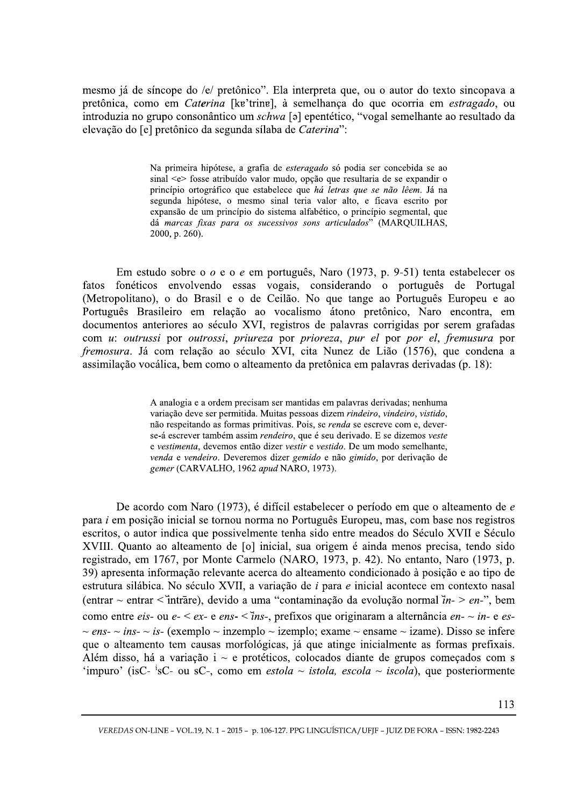mesmo já de síncope do /e/ pretônico". Ela interpreta que, ou o autor do texto sincopava a pretônica, como em Caterina [kɐ'trinɐ], à semelhança do que ocorria em estragado, ou introduzia no grupo consonântico um schwa [a] epentético, "vogal semelhante ao resultado da elevação do [e] pretônico da segunda sílaba de Caterina":

> Na primeira hipótese, a grafia de esteragado só podia ser concebida se ao sinal <e> fosse atribuído valor mudo, opção que resultaria de se expandir o princípio ortográfico que estabelece que há letras que se não lêem. Já na segunda hipótese, o mesmo sinal teria valor alto, e ficava escrito por expansão de um princípio do sistema alfabético, o princípio segmental, que dá marcas fixas para os sucessivos sons articulados" (MARQUILHAS, 2000, p. 260).

Em estudo sobre o  $o$  e o  $e$  em português, Naro (1973, p. 9-51) tenta estabelecer os fonéticos envolvendo essas vogais, considerando o português de Portugal fatos (Metropolitano), o do Brasil e o de Ceilão. No que tange ao Português Europeu e ao Português Brasileiro em relação ao vocalismo átono pretônico, Naro encontra, em documentos anteriores ao século XVI, registros de palavras corrigidas por serem grafadas com u: outrussi por outrossi, priureza por prioreza, pur el por por el, fremusura por fremosura. Já com relação ao século XVI, cita Nunez de Lião (1576), que condena a assimilação vocálica, bem como o alteamento da pretônica em palavras derivadas (p. 18):

> A analogia e a ordem precisam ser mantidas em palavras derivadas; nenhuma variação deve ser permitida. Muitas pessoas dizem rindeiro, vindeiro, vistido, não respeitando as formas primitivas. Pois, se renda se escreve com e, deverse-á escrever também assim rendeiro, que é seu derivado. E se dizemos veste e vestimenta, devemos então dizer vestir e vestido. De um modo semelhante, venda e vendeiro. Deveremos dizer gemido e não gimido, por derivação de gemer (CARVALHO, 1962 apud NARO, 1973).

De acordo com Naro (1973), é difícil estabelecer o período em que o alteamento de e para i em posição inicial se tornou norma no Português Europeu, mas, com base nos registros escritos, o autor indica que possivelmente tenha sido entre meados do Século XVII e Século XVIII. Quanto ao alteamento de [o] inicial, sua origem é ainda menos precisa, tendo sido registrado, em 1767, por Monte Carmelo (NARO, 1973, p. 42). No entanto, Naro (1973, p. 39) apresenta informação relevante acerca do alteamento condicionado à posição e ao tipo de estrutura silábica. No século XVII, a variação de i para e inicial acontece em contexto nasal (entrar ~ entrar < intrāre), devido a uma "contaminação da evolução normal  $\hat{i}n$  > en-", bem como entre eis- ou e-  $\leq ex$ - e ens- $\leq$ ins-, prefixos que originaram a alternância en- $\sim$ in- e es-~ ens- ~ ins- ~ is- (exemplo ~ inzemplo ~ izemplo; exame ~ ensame ~ izame). Disso se infere que o alteamento tem causas morfológicas, já que atinge inicialmente as formas prefixais. Além disso, há a variação i  $\sim$  e protéticos, colocados diante de grupos começados com s 'impuro' (isC- <sup>i</sup>sC- ou sC-, como em *estola ~ istola, escola ~ iscola*), que posteriormente

VEREDAS ON-LINE - VOL.19, N. 1 - 2015 - p. 106-127. PPG LINGUÍSTICA/UFIF - JUIZ DE FORA - ISSN: 1982-2243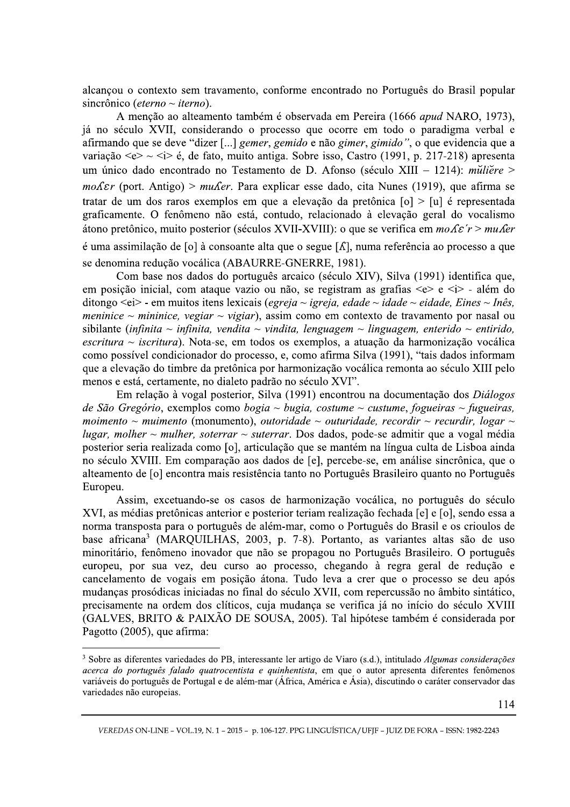alcançou o contexto sem travamento, conforme encontrado no Português do Brasil popular sincrônico (eterno ~ iterno).

A menção ao alteamento também é observada em Pereira (1666 apud NARO, 1973), já no século XVII, considerando o processo que ocorre em todo o paradigma verbal e afirmando que se deve "dizer [...] *gemer, gemido e não gimer, gimido"*, o que evidencia que a variação  $\langle e \rangle \sim \langle i \rangle$  é, de fato, muito antiga. Sobre isso, Castro (1991, p. 217-218) apresenta um único dado encontrado no Testamento de D. Afonso (século XIII - 1214): mŭliere > moΛεr (port. Antigo) > muΛer. Para explicar esse dado, cita Nunes (1919), que afirma se tratar de um dos raros exemplos em que a elevação da pretônica  $[0] > [u]$  é representada graficamente. O fenômeno não está, contudo, relacionado à elevação geral do vocalismo átono pretônico, muito posterior (séculos XVII-XVIII): o que se verifica em  $mo$   $\&$  r > mu  $\&$ é uma assimilação de [o] à consoante alta que o segue  $[\Lambda]$ , numa referência ao processo a que se denomina redução vocálica (ABAURRE-GNERRE, 1981).

Com base nos dados do português arcaico (século XIV), Silva (1991) identifica que, em posição inicial, com ataque vazio ou não, se registram as grafias  $\langle e \rangle e \langle i \rangle$  - além do ditongo  $\leq e$ i> - em muitos itens lexicais (*egreja ~ igreja, edade ~ idade ~ eidade, Eines ~ Inês,* meninice ~ mininice, vegiar ~ vigiar), assim como em contexto de travamento por nasal ou sibilante (infinita ~ infinita, vendita ~ vindita, lenguagem ~ linguagem, enterido ~ entirido, escritura ~ iscritura). Nota-se, em todos os exemplos, a atuação da harmonização vocálica como possível condicionador do processo, e, como afirma Silva (1991), "tais dados informam que a elevação do timbre da pretônica por harmonização vocálica remonta ao século XIII pelo menos e está, certamente, no dialeto padrão no século XVI".

Em relação à vogal posterior, Silva (1991) encontrou na documentação dos Diálogos de São Gregório, exemplos como bogia  $\sim$  bugia, costume  $\sim$  custume, fogueiras  $\sim$  fugueiras, moimento ~ muimento (monumento), outoridade ~ outuridade, recordir ~ recurdir, logar ~ lugar, molher  $\sim$  mulher, soterrar  $\sim$  suterrar. Dos dados, pode-se admitir que a vogal média posterior seria realizada como [o], articulação que se mantém na língua culta de Lisboa ainda no século XVIII. Em comparação aos dados de [e], percebe-se, em análise sincrônica, que o alteamento de [o] encontra mais resistência tanto no Português Brasileiro quanto no Português Europeu.

Assim, excetuando-se os casos de harmonização vocálica, no português do século XVI, as médias pretônicas anterior e posterior teriam realização fechada [e] e [o], sendo essa a norma transposta para o português de além-mar, como o Português do Brasil e os crioulos de base africana<sup>3</sup> (MARQUILHAS, 2003, p. 7-8). Portanto, as variantes altas são de uso minoritário, fenômeno inovador que não se propagou no Português Brasileiro. O português europeu, por sua vez, deu curso ao processo, chegando à regra geral de redução e cancelamento de vogais em posição átona. Tudo leva a crer que o processo se deu após mudanças prosódicas iniciadas no final do século XVII, com repercussão no âmbito sintático, precisamente na ordem dos clíticos, cuja mudança se verifica já no início do século XVIII (GALVES, BRITO & PAIXÃO DE SOUSA, 2005). Tal hipótese também é considerada por Pagotto (2005), que afirma:

<sup>&</sup>lt;sup>3</sup> Sobre as diferentes variedades do PB, interessante ler artigo de Viaro (s.d.), intitulado *Algumas considerações* acerca do português falado quatrocentista e quinhentista, em que o autor apresenta diferentes fenômenos variáveis do português de Portugal e de além-mar (África, América e Ásia), discutindo o caráter conservador das variedades não europeias.

VEREDAS ON-LINE - VOL.19, N. 1 - 2015 - p. 106-127. PPG LINGUÍSTICA/UFIF - JUIZ DE FORA - ISSN: 1982-2243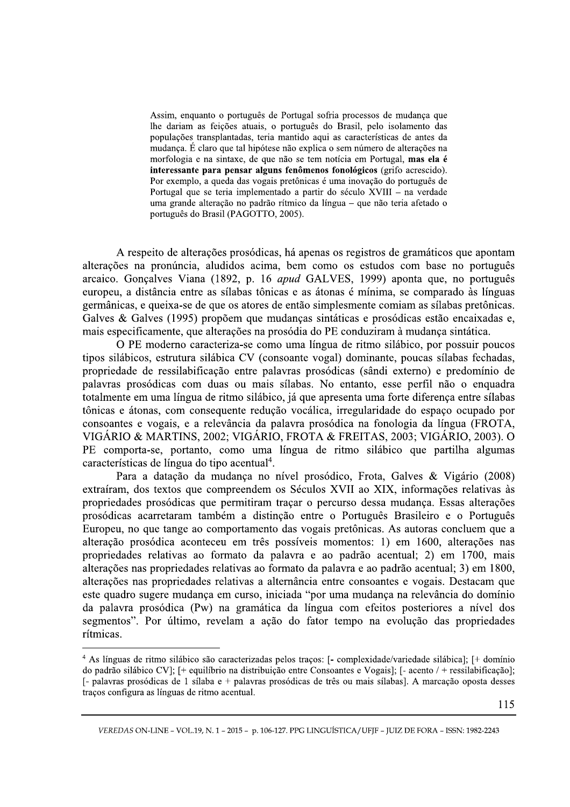Assim, enquanto o português de Portugal sofria processos de mudança que lhe dariam as feições atuais, o português do Brasil, pelo isolamento das populações transplantadas, teria mantido aqui as características de antes da mudança. É claro que tal hipótese não explica o sem número de alterações na morfologia e na sintaxe, de que não se tem notícia em Portugal, mas ela é interessante para pensar alguns fenômenos fonológicos (grifo acrescido). Por exemplo, a queda das vogais pretônicas é uma inovação do português de Portugal que se teria implementado a partir do século XVIII - na verdade uma grande alteração no padrão rítmico da língua - que não teria afetado o português do Brasil (PAGOTTO, 2005).

A respeito de alterações prosódicas, há apenas os registros de gramáticos que apontam alterações na pronúncia, aludidos acima, bem como os estudos com base no português arcaico. Gonçalves Viana (1892, p. 16 apud GALVES, 1999) aponta que, no português europeu, a distância entre as sílabas tônicas e as átonas é mínima, se comparado às línguas germânicas, e queixa-se de que os atores de então simplesmente comiam as sílabas pretônicas. Galves & Galves (1995) propõem que mudanças sintáticas e prosódicas estão encaixadas e, mais especificamente, que alterações na prosódia do PE conduziram à mudança sintática.

O PE moderno caracteriza-se como uma língua de ritmo silábico, por possuir poucos tipos silábicos, estrutura silábica CV (consoante vogal) dominante, poucas sílabas fechadas, propriedade de ressilabificação entre palavras prosódicas (sândi externo) e predomínio de palavras prosódicas com duas ou mais sílabas. No entanto, esse perfil não o enquadra totalmente em uma língua de ritmo silábico, já que apresenta uma forte diferença entre sílabas tônicas e átonas, com consequente redução vocálica, irregularidade do espaço ocupado por consoantes e vogais, e a relevância da palavra prosódica na fonologia da língua (FROTA, VIGÁRIO & MARTINS, 2002; VIGÁRIO, FROTA & FREITAS, 2003; VIGÁRIO, 2003). O PE comporta-se, portanto, como uma língua de ritmo silábico que partilha algumas características de língua do tipo acentual<sup>4</sup>.

Para a datação da mudança no nível prosódico, Frota, Galves & Vigário (2008) extraíram, dos textos que compreendem os Séculos XVII ao XIX, informações relativas às propriedades prosódicas que permitiram traçar o percurso dessa mudança. Essas alterações prosódicas acarretaram também a distinção entre o Português Brasileiro e o Português Europeu, no que tange ao comportamento das vogais pretônicas. As autoras concluem que a alteração prosódica aconteceu em três possíveis momentos: 1) em 1600, alterações nas propriedades relativas ao formato da palavra e ao padrão acentual; 2) em 1700, mais alterações nas propriedades relativas ao formato da palavra e ao padrão acentual; 3) em 1800, alterações nas propriedades relativas a alternância entre consoantes e vogais. Destacam que este quadro sugere mudança em curso, iniciada "por uma mudança na relevância do domínio da palavra prosódica (Pw) na gramática da língua com efeitos posteriores a nível dos segmentos". Por último, revelam a ação do fator tempo na evolução das propriedades rítmicas.

<sup>&</sup>lt;sup>4</sup> As línguas de ritmo silábico são caracterizadas pelos traços: [- complexidade/variedade silábica]; [+ domínio do padrão silábico CVI;  $[+$  equilíbrio na distribuição entre Consoantes e Vogais];  $[-$  acento  $/ +$  ressilabificação]; [- palavras prosódicas de 1 sílaba e + palavras prosódicas de três ou mais sílabas]. A marcação oposta desses traços configura as línguas de ritmo acentual.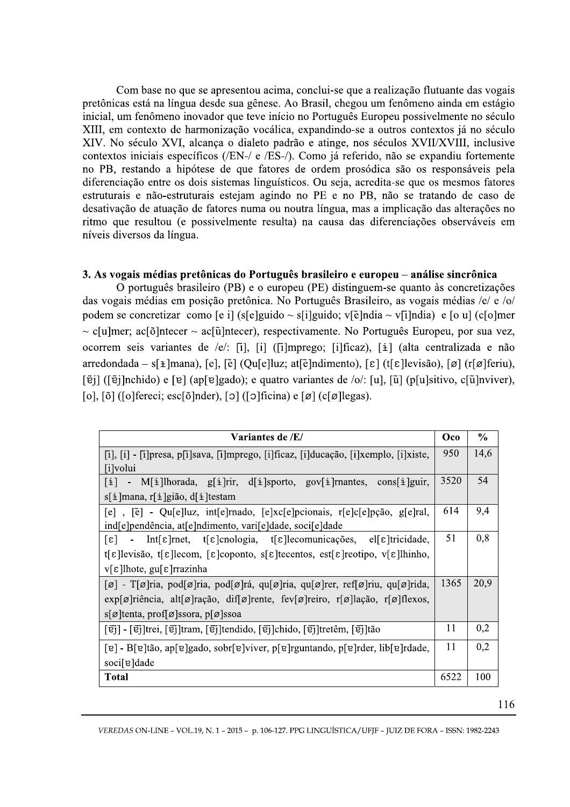Com base no que se apresentou acima, conclui-se que a realização flutuante das vogais pretônicas está na língua desde sua gênese. Ao Brasil, chegou um fenômeno ainda em estágio inicial, um fenômeno inovador que teve início no Português Europeu possivelmente no século XIII, em contexto de harmonização vocálica, expandindo-se a outros contextos já no século XIV. No século XVI, alcanca o dialeto padrão e atinge, nos séculos XVII/XVIII, inclusive contextos iniciais específicos (/EN-/ e /ES-/). Como já referido, não se expandiu fortemente no PB, restando a hipótese de que fatores de ordem prosódica são os responsáveis pela diferenciação entre os dois sistemas linguísticos. Ou seja, acredita-se que os mesmos fatores estruturais e não-estruturais estejam agindo no PE e no PB, não se tratando de caso de desativação de atuação de fatores numa ou noutra língua, mas a implicação das alterações no ritmo que resultou (e possivelmente resulta) na causa das diferenciações observáveis em níveis diversos da língua.

# 3. As vogais médias pretônicas do Português brasileiro e europeu – análise sincrônica

O português brasileiro (PB) e o europeu (PE) distinguem-se quanto às concretizações das vogais médias em posição pretônica. No Português Brasileiro, as vogais médias /e/ e /o/ podem se concretizar como [e i] (s[e]guido ~ s[i]guido; v[ $\tilde{e}$ ]ndia ~ v[i]ndia) e [o u] (c[o]mer  $\sim$  c[u]mer; ac[õ]ntecer  $\sim$  ac[ũ]ntecer), respectivamente. No Português Europeu, por sua vez, ocorrem seis variantes de /e/: [i], [i] ([i]mprego; [i]ficaz), [i] (alta centralizada e não arredondada – s[ $\pm$ ]mana), [e], [ $\tilde{e}$ ] (Qu[e]luz; at[ $\tilde{e}$ ]ndimento), [ $\epsilon$ ] (t[ $\epsilon$ ]levisão), [ø] (r[ø]feriu),  $[\tilde{e}j]$  ( $[\tilde{e}j]$ nchido) e  $[e]$  (ap $[e]$ gado); e quatro variantes de /o/:  $[u]$ ,  $[\tilde{u}]$  (p $[u]$ sitivo, c $[\tilde{u}]$ nviver), [0], [ $\delta$ ] ([o] fereci; esc[ $\delta$ ] nder), [o] ([o] ficina) e [ø] (c[ø] legas).

| Variantes de /E/                                                                                                                                                 |      | $\frac{6}{9}$ |
|------------------------------------------------------------------------------------------------------------------------------------------------------------------|------|---------------|
| $[i], [i]$ - $[i]$ presa, p $[i]$ sava, $[i]$ mprego, $[i]$ ficaz, $[i]$ ducação, $[i]$ xemplo, $[i]$ xiste,                                                     | 950  | 14,6          |
| [i]volui                                                                                                                                                         |      |               |
| - M[ $\pm$ ]lhorada, g[ $\pm$ ]rir, d[ $\pm$ ]sporto, gov[ $\pm$ ]rnantes, cons[ $\pm$ ]guir,<br>li l                                                            | 3520 | 54            |
| $s[i]$ mana, r[i]gião, d[i]testam                                                                                                                                |      |               |
| [e], [ẽ] - Qu[e]luz, int[e]mado, [e]xc[e]pcionais, r[e]c[e]pção, g[e]ral,                                                                                        | 614  | 9,4           |
| ind[e]pendência, at[e]ndimento, vari[e]dade, soci[e]dade                                                                                                         |      |               |
| - Int[ $\epsilon$ ]rnet, t[ $\epsilon$ ]cnologia, t[ $\epsilon$ ]lecomunicações, el[ $\epsilon$ ]tricidade,<br>$ \epsilon $                                      | 51   | 0,8           |
| t[ $\epsilon$ ]levisão, t[ $\epsilon$ ]lecom, [ $\epsilon$ ]coponto, s[ $\epsilon$ ]tecentos, est[ $\epsilon$ ]rectipo, v[ $\epsilon$ ]lhinho,                   |      |               |
| $v[\epsilon]$ lhote, gu[ε] rrazinha                                                                                                                              |      |               |
| $[\emptyset]$ - T[ø]ria, pod[ø]ria, pod[ø]rá, qu[ø]ria, qu[ø]rer, ref[ø]riu, qu[ø]rida,                                                                          |      | 20,9          |
| $\exp[\varnothing]$ riência, alt $[\varnothing]$ ração, dif $[\varnothing]$ rente, fev $[\varnothing]$ reiro, r $[\varnothing]$ lação, r $[\varnothing]$ flexos, |      |               |
| $s[\emptyset]$ tenta, prof[ $\emptyset]$ ssora, p[ $\emptyset]$ ssoa                                                                                             |      |               |
| [ɐ̃j] - [ɐ̃j]trei, [ɐ̃j]tram, [ɐ̃j]tendido, [ɐ̃j]chido, [ɐ̃j]tretêm, [ɐ̃j]tão                                                                                    | 11   | 0,2           |
| [e] - B[e]tão, ap[e]gado, sobr[e]viver, p[e]rguntando, p[e]rder, lib[e]rdade,                                                                                    | 11   | 0,2           |
| soci[e]dade                                                                                                                                                      |      |               |
| <b>Total</b>                                                                                                                                                     |      | 100           |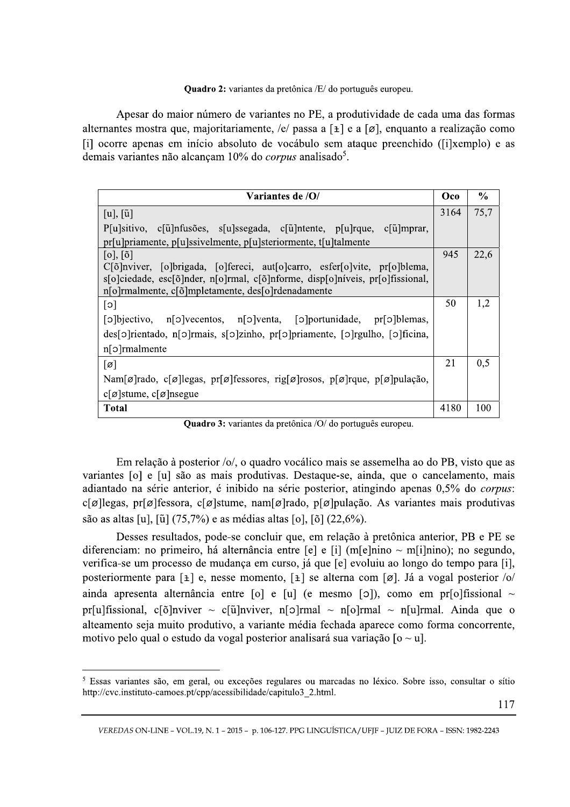#### **Quadro 2:** variantes da pretônica /E/ do português europeu.

Apesar do maior número de variantes no PE, a produtividade de cada uma das formas alternantes mostra que, majoritariamente, /e/ passa a  $[\pm]$  e a  $[\emptyset]$ , enquanto a realização como [i] ocorre apenas em início absoluto de vocábulo sem ataque preenchido ([i]xemplo) e as demais variantes não alcançam 10% do *corpus* analisado<sup>5</sup>.

| Variantes de /O/                                                                                                                                                  | Oco  | $\%$ |
|-------------------------------------------------------------------------------------------------------------------------------------------------------------------|------|------|
| $[u], [\tilde{u}]$                                                                                                                                                | 3164 | 75,7 |
| $P[u]$ sitivo, c $\left[\tilde{u}\right]$ nfusões, s $[u]$ ssegada, c $\left[\tilde{u}\right]$ ntente, p $\left[u\right]$ rque, c $\left[\tilde{u}\right]$ mprar, |      |      |
| pr[u]priamente, p[u]ssivelmente, p[u]steriormente, t[u]talmente                                                                                                   |      |      |
| $[0], [\tilde{0}]$                                                                                                                                                | 945  | 22,6 |
| C[õ]nviver, [o]brigada, [o]fereci, aut[o]carro, esfer[o]vite, pr[o]blema,                                                                                         |      |      |
| s[o]ciedade, esc[õ]nder, n[o]rmal, c[õ]nforme, disp[o]níveis, pr[o]fissional,                                                                                     |      |      |
| n[o]rmalmente, c[õ]mpletamente, des[o]rdenadamente                                                                                                                |      |      |
| $\lceil c \rceil$                                                                                                                                                 | 50   | 1,2  |
| [o]bjectivo, n[o]vecentos, n[o]venta, [o]portunidade, pr[o]blemas,                                                                                                |      |      |
| des[o]rientado, n[o]rmais, s[o]zinho, pr[o]priamente, [o]rgulho, [o]ficina,                                                                                       |      |      |
| $n[\circ]$ rmalmente                                                                                                                                              |      |      |
| $\lceil \varnothing \rceil$                                                                                                                                       | 21   | 0,5  |
| Nam[ø]rado, c[ø]legas, pr[ø]fessores, rig[ø]rosos, p[ø]rque, p[ø]pulação,                                                                                         |      |      |
| $c[\emptyset]$ stume, $c[\emptyset]$ nsegue                                                                                                                       |      |      |
| <b>Total</b>                                                                                                                                                      | 4180 | 100  |

Quadro 3: variantes da pretônica /O/ do português europeu.

Em relação à posterior /o/, o quadro vocálico mais se assemelha ao do PB, visto que as variantes [o] e [u] são as mais produtivas. Destaque-se, ainda, que o cancelamento, mais adiantado na série anterior, é inibido na série posterior, atingindo apenas 0,5% do *corpus*:  $c[\emptyset]$ legas, pr $[\emptyset]$ fessora,  $c[\emptyset]$ stume, nam $[\emptyset]$ rado, p $[\emptyset]$ pulação. As variantes mais produtivas são as altas [u], [ $\tilde{u}$ ] (75,7%) e as médias altas [o], [õ] (22,6%).

Desses resultados, pode-se concluir que, em relação à pretônica anterior, PB e PE se diferenciam: no primeiro, há alternância entre [e] e [i] (m[e]nino ~ m[i]nino); no segundo, verifica-se um processo de mudança em curso, já que [e] evoluiu ao longo do tempo para [i], posteriormente para [ $\pm$ ] e, nesse momento, [ $\pm$ ] se alterna com [ø]. Já a vogal posterior /o/ ainda apresenta alternância entre [o] e [u] (e mesmo [o]), como em pr<br/>[o]fissional  $\sim$ pr[u]fissional, c[õ]nviver ~ c[ũ]nviver, n[o]rmal ~ n[o]rmal ~ n[u]rmal. Ainda que o alteamento seja muito produtivo, a variante média fechada aparece como forma concorrente. motivo pelo qual o estudo da vogal posterior analisará sua variação  $\lceil 0 \sim u \rceil$ .

<sup>&</sup>lt;sup>5</sup> Essas variantes são, em geral, ou exceções regulares ou marcadas no léxico. Sobre isso, consultar o sítio http://cvc.instituto-camoes.pt/cpp/acessibilidade/capitulo3 2.html.

VEREDAS ON-LINE - VOL.19, N. 1 - 2015 - p. 106-127. PPG LINGUÍSTICA/UFIF - JUIZ DE FORA - ISSN: 1982-2243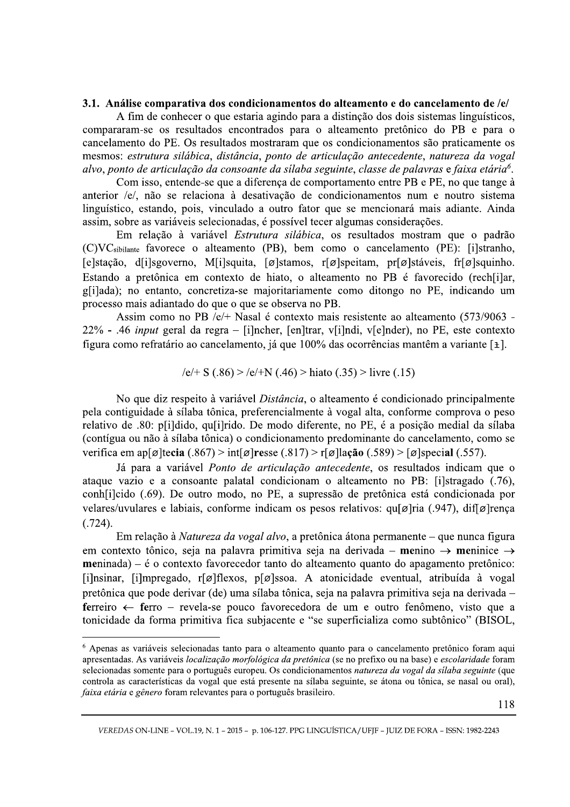### 3.1. Análise comparativa dos condicionamentos do alteamento e do cancelamento de /e/

A fim de conhecer o que estaria agindo para a distinção dos dois sistemas linguísticos, compararam-se os resultados encontrados para o alteamento pretônico do PB e para o cancelamento do PE. Os resultados mostraram que os condicionamentos são praticamente os mesmos: estrutura silábica, distância, ponto de articulação antecedente, natureza da vogal alvo, ponto de articulação da consoante da sílaba seguinte, classe de palavras e faixa etária<sup>6</sup>.

Com isso, entende-se que a diferença de comportamento entre PB e PE, no que tange à anterior /e/, não se relaciona à desativação de condicionamentos num e noutro sistema linguístico, estando, pois, vinculado a outro fator que se mencionará mais adiante. Ainda assim, sobre as variáveis selecionadas, é possível tecer algumas considerações.

Em relação à variável Estrutura silábica, os resultados mostram que o padrão (C)VC<sub>sibilante</sub> favorece o alteamento (PB), bem como o cancelamento (PE): [i]stranho, [e]stação, d[i]sgoverno, M[i]squita, [ø]stamos, r[ø]speitam, pr[ø]stáveis, fr[ø]squinho. Estando a pretônica em contexto de hiato, o alteamento no PB é favorecido (rech[i]ar, glilada); no entanto, concretiza-se majoritariamente como ditongo no PE, indicando um processo mais adiantado do que o que se observa no PB.

Assim como no PB /e/+ Nasal é contexto mais resistente ao alteamento (573/9063 -22% - .46 *input* geral da regra – [i]ncher, [en]trar, v[i]ndi, v[e]nder), no PE, este contexto figura como refratário ao cancelamento, já que 100% das ocorrências mantêm a variante [ $\pm$ ].

$$
|e|
$$
 + S (.86) >  $|e|$ +N (.46) > hiato (.35) > livre (.15)

No que diz respeito à variável *Distância*, o alteamento é condicionado principalmente pela contiguidade à sílaba tônica, preferencialmente à vogal alta, conforme comprova o peso relativo de .80: plildido, qulilrido. De modo diferente, no PE, é a posição medial da sílaba (contígua ou não à sílaba tônica) o condicionamento predominante do cancelamento, como se verifica em ap $\lceil \emptyset \rceil$ tecia (.867) > int $\lceil \emptyset \rceil$ resse (.817) > r $\lceil \emptyset \rceil$ lação (.589) >  $\lceil \emptyset \rceil$ special (.557).

Já para a variável *Ponto de articulação antecedente*, os resultados indicam que o ataque vazio e a consoante palatal condicionam o alteamento no PB: [i]stragado (.76), conhecido (.69). De outro modo, no PE, a supressão de pretônica está condicionada por velares/uvulares e labiais, conforme indicam os pesos relativos: qu[ø]ria (.947), dif[ø]rença  $(.724).$ 

Em relação à Natureza da vogal alvo, a pretônica átona permanente – que nunca figura em contexto tônico, seja na palavra primitiva seja na derivada – menino  $\rightarrow$  meninice  $\rightarrow$  $meninada$ ) – é o contexto favorecedor tanto do alteamento quanto do apagamento pretônico: [i]nsinar, [i]mpregado,  $r[\emptyset]$ flexos, p[ $\emptyset$ ]ssoa. A atonicidade eventual, atribuída à vogal pretônica que pode derivar (de) uma sílaba tônica, seja na palavra primitiva seja na derivada – ferreiro  $\leftarrow$  ferro - revela-se pouco favorecedora de um e outro fenômeno, visto que a tonicidade da forma primitiva fica subjacente e "se superficializa como subtônico" (BISOL,

<sup>6</sup> Apenas as variáveis selecionadas tanto para o alteamento quanto para o cancelamento pretônico foram aqui apresentadas. As variáveis localização morfológica da pretônica (se no prefixo ou na base) e escolaridade foram selecionadas somente para o português europeu. Os condicionamentos natureza da vogal da sílaba seguinte (que controla as características da vogal que está presente na sílaba seguinte, se átona ou tônica, se nasal ou oral), faixa etária e gênero foram relevantes para o português brasileiro.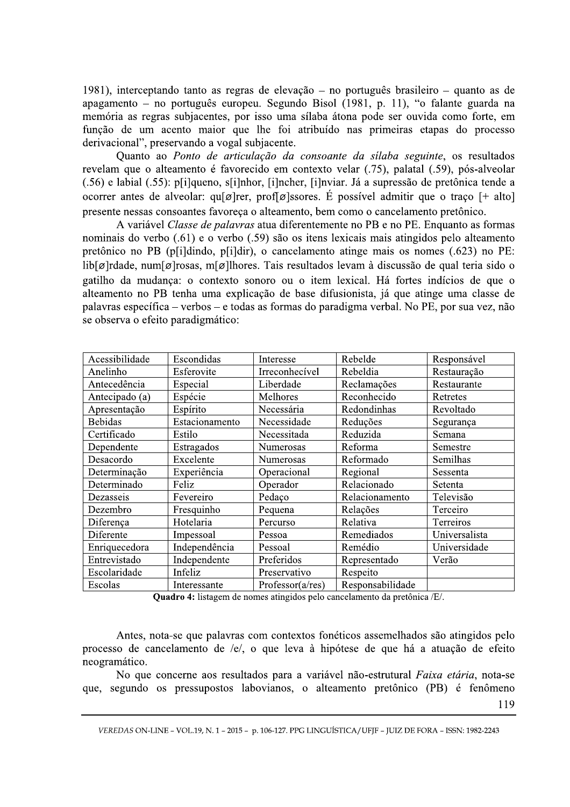1981), interceptando tanto as regras de elevação – no português brasileiro – quanto as de apagamento – no português europeu. Segundo Bisol (1981, p. 11), "o falante guarda na memória as regras subjacentes, por isso uma sílaba átona pode ser ouvida como forte, em função de um acento maior que lhe foi atribuído nas primeiras etapas do processo derivacional", preservando a vogal subjacente.

Quanto ao Ponto de articulação da consoante da sílaba seguinte, os resultados revelam que o alteamento é favorecido em contexto velar (.75), palatal (.59), pós-alveolar (.56) e labial (.55): p[i]queno, s[i]nhor, [i]ncher, [i]nviar. Já a supressão de pretônica tende a ocorrer antes de alveolar: qui o record profi o lssores. É possível admitir que o traco [+ alto] presente nessas consoantes favoreça o alteamento, bem como o cancelamento pretônico.

A variável Classe de palavras atua diferentemente no PB e no PE. Enquanto as formas nominais do verbo (.61) e o verbo (.59) são os itens lexicais mais atingidos pelo alteamento pretônico no PB (p[i]dindo, p[i]dir), o cancelamento atinge mais os nomes (.623) no PE: lib[ø]rdade, num[ø]rosas, m[ø]lhores. Tais resultados levam à discussão de qual teria sido o gatilho da mudança: o contexto sonoro ou o item lexical. Há fortes indícios de que o alteamento no PB tenha uma explicação de base difusionista, já que atinge uma classe de palavras específica – verbos – e todas as formas do paradigma verbal. No PE, por sua vez, não se observa o efeito paradigmático:

| Acessibilidade | Escondidas     | Interesse        | Rebelde          | Responsável   |
|----------------|----------------|------------------|------------------|---------------|
| Anelinho       | Esferovite     | Irreconhecível   | Rebeldia         | Restauração   |
| Antecedência   | Especial       | Liberdade        | Reclamações      | Restaurante   |
| Antecipado (a) | Espécie        | Melhores         | Reconhecido      | Retretes      |
| Apresentação   | Espírito       | Necessária       | Redondinhas      | Revoltado     |
| <b>Bebidas</b> | Estacionamento | Necessidade      | Reduções         | Segurança     |
| Certificado    | Estilo         | Necessitada      | Reduzida         | Semana        |
| Dependente     | Estragados     | Numerosas        | Reforma          | Semestre      |
| Desacordo      | Excelente      | Numerosas        | Reformado        | Semilhas      |
| Determinação   | Experiência    | Operacional      | Regional         | Sessenta      |
| Determinado    | Feliz          | Operador         | Relacionado      | Setenta       |
| Dezasseis      | Fevereiro      | Pedaço           | Relacionamento   | Televisão     |
| Dezembro       | Fresquinho     | Pequena          | Relações         | Terceiro      |
| Diferença      | Hotelaria      | Percurso         | Relativa         | Terreiros     |
| Diferente      | Impessoal      | Pessoa           | Remediados       | Universalista |
| Enriquecedora  | Independência  | Pessoal          | Remédio          | Universidade  |
| Entrevistado   | Independente   | Preferidos       | Representado     | Verão         |
| Escolaridade   | Infeliz        | Preservativo     | Respeito         |               |
| Escolas        | Interessante   | Professor(a/res) | Responsabilidade |               |

**Quadro 4:** listagem de nomes atingidos pelo cancelamento da pretônica /E/.

Antes, nota-se que palavras com contextos fonéticos assemelhados são atingidos pelo processo de cancelamento de /e/, o que leva à hipótese de que há a atuação de efeito neogramático.

No que concerne aos resultados para a variável não-estrutural Faixa etária, nota-se que, segundo os pressupostos labovianos, o alteamento pretônico (PB) é fenômeno

VEREDAS ON-LINE - VOL.19, N. 1 - 2015 - p. 106-127. PPG LINGUÍSTICA/UFIF - JUIZ DE FORA - ISSN: 1982-2243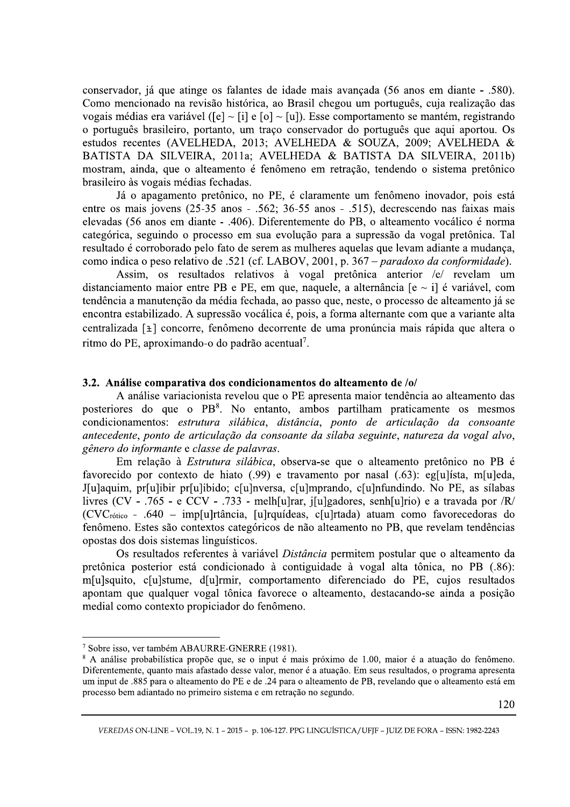conservador, já que atinge os falantes de idade mais avançada (56 anos em diante - .580). Como mencionado na revisão histórica, ao Brasil chegou um português, cuja realização das vogais médias era variável ( $\lceil e \rceil \sim \lceil i \rceil$  e  $\lceil o \rceil \sim \lceil u \rceil$ ). Esse comportamento se mantém, registrando o português brasileiro, portanto, um traço conservador do português que aqui aportou. Os estudos recentes (AVELHEDA, 2013; AVELHEDA & SOUZA, 2009; AVELHEDA & BATISTA DA SILVEIRA, 2011a; AVELHEDA & BATISTA DA SILVEIRA, 2011b) mostram, ainda, que o alteamento é fenômeno em retração, tendendo o sistema pretônico brasileiro às vogais médias fechadas.

Já o apagamento pretônico, no PE, é claramente um fenômeno inovador, pois está entre os mais jovens  $(25-35 \text{ anos} - .562; 36-55 \text{ anos} - .515)$ , decrescendo nas faixas mais elevadas (56 anos em diante - .406). Diferentemente do PB, o alteamento vocálico é norma categórica, seguindo o processo em sua evolução para a supressão da vogal pretônica. Tal resultado é corroborado pelo fato de serem as mulheres aquelas que levam adiante a mudança, como indica o peso relativo de .521 (cf. LABOV, 2001, p. 367 – paradoxo da conformidade).

Assim, os resultados relativos à vogal pretônica anterior /e/ revelam um distanciamento maior entre PB e PE, em que, naquele, a alternância [e ~ i] é variável, com tendência a manutenção da média fechada, ao passo que, neste, o processo de alteamento já se encontra estabilizado. A supressão vocálica é, pois, a forma alternante com que a variante alta centralizada [±] concorre, fenômeno decorrente de uma pronúncia mais rápida que altera o ritmo do PE, aproximando-o do padrão acentual<sup>7</sup>.

## 3.2. Análise comparativa dos condicionamentos do alteamento de /o/

A análise variacionista revelou que o PE apresenta maior tendência ao alteamento das posteriores do que o PB<sup>8</sup>. No entanto, ambos partilham praticamente os mesmos condicionamentos: estrutura silábica, distância, ponto de articulação da consoante antecedente, ponto de articulação da consoante da sílaba seguinte, natureza da vogal alvo, gênero do informante e classe de palavras.

Em relação à Estrutura silábica, observa-se que o alteamento pretônico no PB é favorecido por contexto de hiato (.99) e travamento por nasal (.63): eg[u]ísta, m[u]eda, J[u]aquim, pr[u]ibir pr[u]ibido; c[u]nversa, c[u]mprando, c[u]nfundindo. No PE, as sílabas livres (CV - .765 - e CCV - .733 - melh[u]rar, j[u]gadores, senh[u]rio) e a travada por /R/  $(CVC<sub>rótico</sub> - .640 - imp[u]rtância, [u]rquídeas, c[u]rtada) atuam como favorecedoras do$ fenômeno. Estes são contextos categóricos de não alteamento no PB, que revelam tendências opostas dos dois sistemas linguísticos.

Os resultados referentes à variável *Distância* permitem postular que o alteamento da pretônica posterior está condicionado à contiguidade à vogal alta tônica, no PB (.86): m[u]squito, c[u]stume, d[u]rmir, comportamento diferenciado do PE, cujos resultados apontam que qualquer vogal tônica favorece o alteamento, destacando-se ainda a posição medial como contexto propiciador do fenômeno.

óximo de 1.00, maior é a atuação do fe<br>atuação. Em seus resultados, o programa a<br>amento de PB, revelando que o alteamento<br>segundo.<br>GUÍSTICA/UFJF - JUIZ DE FORA - ISSN: 1982 <sup>7</sup> Sobre isso, ver também ABAURRE-GNERRE (1981).<br><sup>8</sup> A análise probabilística propõe que, se o input é mais próximo de 1.00, maior é a atuação do fenômeno. Diferentemente, quanto mais afastado desse valor, menor é a atuação. Em seus resultados, o programa apresenta um input de .885 para o alteamento do PE e de .24 para o alteamento de PB, revelando que o alteamento está em processo bem adiantado no primeiro sistema e em retração no segundo.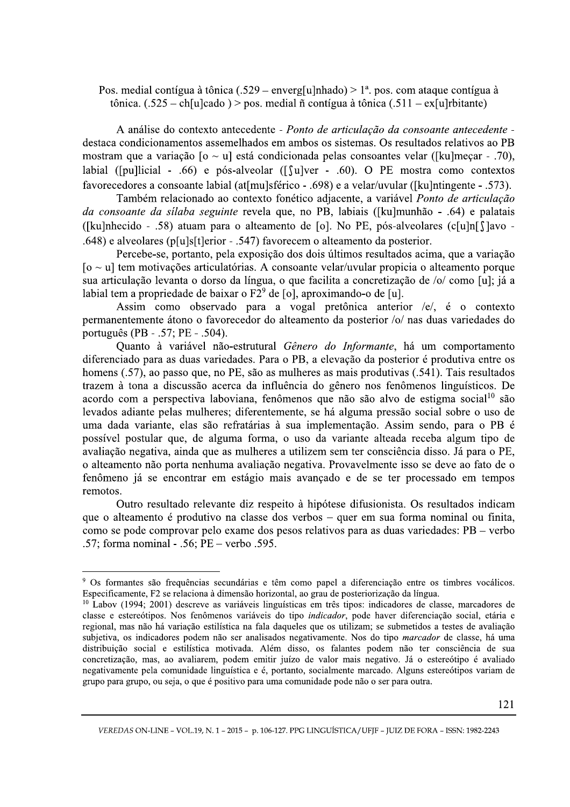Pos. medial contígua à tônica (.529 – enverg[u]nhado) > 1<sup>a</sup>. pos. com ataque contígua à tônica.  $(.525 - ch[u]cado) > pos.$  medial ñ contígua à tônica  $(.511 - ex[u]rbitante)$ 

A análise do contexto antecedente - Ponto de articulação da consoante antecedente destaca condicionamentos assemelhados em ambos os sistemas. Os resultados relativos ao PB mostram que a variação  $\lceil 0 \sim u \rceil$  está condicionada pelas consoantes velar ([ku]meçar - .70), labial ([pu]licial - .66) e pós-alveolar ([ $\lceil \text{u} \rceil$ ver - .60). O PE mostra como contextos favorecedores a consoante labial (at[mu]sférico - .698) e a velar/uvular ([ku]ntingente - .573).

Também relacionado ao contexto fonético adjacente, a variável Ponto de articulação da consoante da silaba seguinte revela que, no PB, labiais ([ku]munhão - .64) e palatais ([ku]nhecido - .58) atuam para o alteamento de [o]. No PE, pós-alveolares (c[u]n $\lceil$ ]avo -.648) e alveolares (p[u]s[t]erior - .547) favorecem o alteamento da posterior.

Percebe-se, portanto, pela exposição dos dois últimos resultados acima, que a variação  $[6 \sim u]$  tem motivações articulatórias. A consoante velar/uvular propicia o alteamento porque sua articulação levanta o dorso da língua, o que facilita a concretização de /o/ como [u]; já a labial tem a propriedade de baixar o  $F2^9$  de [o], aproximando-o de [u].

Assim como observado para a vogal pretônica anterior /e/, é o contexto permanentemente átono o favorecedor do alteamento da posterior /o/ nas duas variedades do português (PB - .57; PE - .504).

Quanto à variável não-estrutural Gênero do Informante, há um comportamento diferenciado para as duas variedades. Para o PB, a elevação da posterior é produtiva entre os homens (.57), ao passo que, no PE, são as mulheres as mais produtivas (.541). Tais resultados trazem à tona a discussão acerca da influência do gênero nos fenômenos linguísticos. De acordo com a perspectiva laboviana, fenômenos que não são alvo de estigma social<sup>10</sup> são levados adiante pelas mulheres; diferentemente, se há alguma pressão social sobre o uso de uma dada variante, elas são refratárias à sua implementação. Assim sendo, para o PB é possível postular que, de alguma forma, o uso da variante alteada receba algum tipo de avaliação negativa, ainda que as mulheres a utilizem sem ter consciência disso. Já para o PE, o alteamento não porta nenhuma avaliação negativa. Provavelmente isso se deve ao fato de o fenômeno já se encontrar em estágio mais avançado e de se ter processado em tempos remotos.

Outro resultado relevante diz respeito à hipótese difusionista. Os resultados indicam que o alteamento é produtivo na classe dos verbos – quer em sua forma nominal ou finita, como se pode comprovar pelo exame dos pesos relativos para as duas variedades:  $PB -$ verbo .57: forma nominal - .56:  $PE$  – verbo .595.

VEREDAS ON-LINE – VOL.19, N. 1 – 2015 – p. 106-127. PPG LINGUISTICA/UFJF – JUIZ DE FORA – ISSN: 1982-2243

<sup>&</sup>lt;sup>9</sup> Os formantes são frequências secundárias e têm como papel a diferenciação entre os timbres vocálicos.<br>Especificamente, F2 se relaciona à dimensão horizontal, ao grau de posteriorização da língua.

valor mais negativo. Já o estereótipo é<br>
i:<br>
almente marcado. Alguns estereótipos v<br>
ade pode não o ser para outra.<br>
GUÍSTICA/UFJF – JUIZ DE FORA – ISSN: 1982 <sup>10</sup> Labov (1994; 2001) descreve as variáveis linguísticas em três tipos: indicadores de classe, marcadores de classe e estereótipos. Nos fenômenos variáveis do tipo *indicador*, pode haver diferenciação social, etária e regional, mas não há variação estilística na fala daqueles que os utilizam; se submetidos a testes de avaliação subjetiva, os indicadores podem não ser analisados negativamente. Nos do tipo *marcador* de classe, há uma distribuição social e estilística motivada. Além disso, os falantes podem não ter consciência de sua concretização, mas, ao avaliarem, podem emitir juízo de valor mais negativo. Já o estereótipo é avaliado negativamente pela comunidade linguística e é, portanto, socialmente marcado. Alguns estereótipos variam de erupo para grupo, ou seja, o que é positivo para uma comunidade pode não o ser para outra.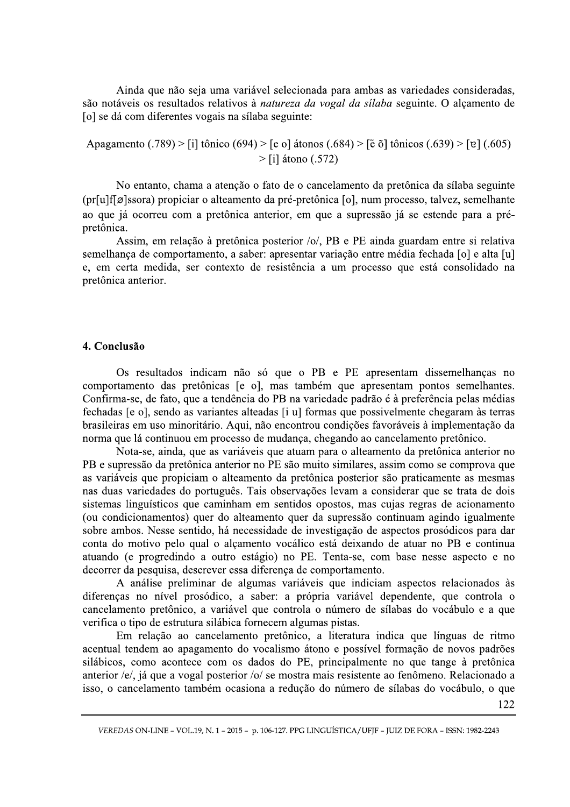Ainda que não seja uma variável selecionada para ambas as variedades consideradas, são notáveis os resultados relativos à natureza da vogal da sílaba seguinte. O alçamento de [o] se dá com diferentes vogais na sílaba seguinte:

Apagamento (.789) > [i] tônico (694) > [e o] átonos (.684) > [ẽ õ] tônicos (.639) > [ɐ] (.605)  $>$ [i] átono (.572)

No entanto, chama a atenção o fato de o cancelamento da pretônica da sílaba seguinte (pr[u]f[ø]ssora) propiciar o alteamento da pré-pretônica [o], num processo, talvez, semelhante ao que já ocorreu com a pretônica anterior, em que a supressão já se estende para a prépretônica.

Assim, em relação à pretônica posterior /o/, PB e PE ainda guardam entre si relativa semelhança de comportamento, a saber: apresentar variação entre média fechada [o] e alta [u] e, em certa medida, ser contexto de resistência a um processo que está consolidado na pretônica anterior.

## 4. Conclusão

Os resultados indicam não só que o PB e PE apresentam dissemelhanças no comportamento das pretônicas [e o], mas também que apresentam pontos semelhantes. Confirma-se, de fato, que a tendência do PB na variedade padrão é à preferência pelas médias fechadas [e o], sendo as variantes alteadas [i u] formas que possivelmente chegaram às terras brasileiras em uso minoritário. Aqui, não encontrou condições favoráveis à implementação da norma que lá continuou em processo de mudança, chegando ao cancelamento pretônico.

Nota-se, ainda, que as variáveis que atuam para o alteamento da pretônica anterior no PB e supressão da pretônica anterior no PE são muito similares, assim como se comprova que as variáveis que propiciam o alteamento da pretônica posterior são praticamente as mesmas nas duas variedades do português. Tais observações levam a considerar que se trata de dois sistemas linguísticos que caminham em sentidos opostos, mas cujas regras de acionamento (ou condicionamentos) quer do alteamento quer da supressão continuam agindo igualmente sobre ambos. Nesse sentido, há necessidade de investigação de aspectos prosódicos para dar conta do motivo pelo qual o alçamento vocálico está deixando de atuar no PB e continua atuando (e progredindo a outro estágio) no PE. Tenta-se, com base nesse aspecto e no decorrer da pesquisa, descrever essa diferença de comportamento.

A análise preliminar de algumas variáveis que indiciam aspectos relacionados às diferenças no nível prosódico, a saber: a própria variável dependente, que controla o cancelamento pretônico, a variável que controla o número de sílabas do vocábulo e a que verifica o tipo de estrutura silábica fornecem algumas pistas.

Em relação ao cancelamento pretônico, a literatura indica que línguas de ritmo acentual tendem ao apagamento do vocalismo átono e possível formação de novos padrões silábicos, como acontece com os dados do PE, principalmente no que tange à pretônica anterior /e/, já que a vogal posterior /o/ se mostra mais resistente ao fenômeno. Relacionado a isso, o cancelamento também ocasiona a redução do número de sílabas do vocábulo, o que

122

VEREDAS ON-LINE - VOL.19, N. 1 - 2015 - p. 106-127. PPG LINGUÍSTICA/UFJF - JUIZ DE FORA - ISSN: 1982-2243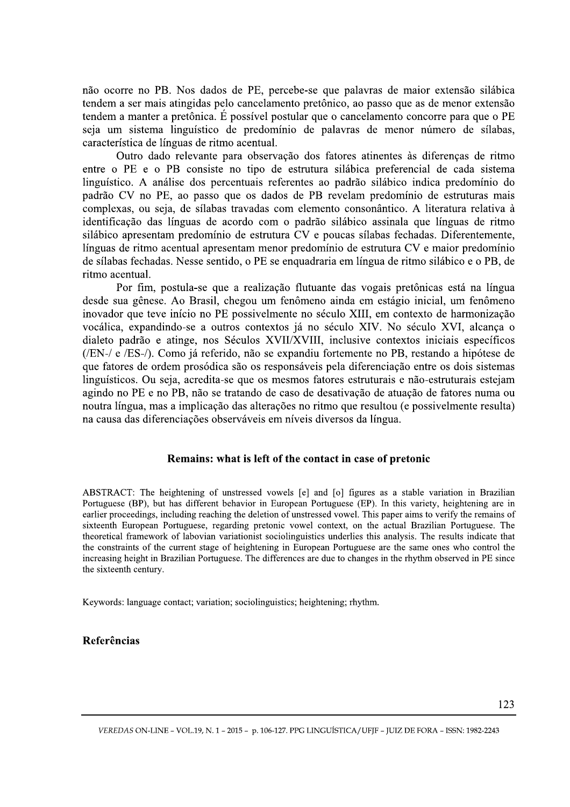não ocorre no PB. Nos dados de PE, percebe-se que palavras de maior extensão silábica tendem a ser mais atingidas pelo cancelamento pretônico, ao passo que as de menor extensão tendem a manter a pretônica. É possível postular que o cancelamento concorre para que o PE seja um sistema linguístico de predomínio de palavras de menor número de sílabas, característica de línguas de ritmo acentual.

Outro dado relevante para observação dos fatores atinentes às diferenças de ritmo entre o PE e o PB consiste no tipo de estrutura silábica preferencial de cada sistema linguístico. A análise dos percentuais referentes ao padrão silábico indica predomínio do padrão CV no PE, ao passo que os dados de PB revelam predomínio de estruturas mais complexas, ou seja, de sílabas travadas com elemento consonântico. A literatura relativa à identificação das línguas de acordo com o padrão silábico assinala que línguas de ritmo silábico apresentam predomínio de estrutura CV e poucas sílabas fechadas. Diferentemente, línguas de ritmo acentual apresentam menor predomínio de estrutura CV e maior predomínio de sílabas fechadas. Nesse sentido, o PE se enquadraria em língua de ritmo silábico e o PB, de ritmo acentual.

Por fim, postula-se que a realização flutuante das vogais pretônicas está na língua desde sua gênese. Ao Brasil, chegou um fenômeno ainda em estágio inicial, um fenômeno inovador que teve início no PE possivelmente no século XIII, em contexto de harmonização vocálica, expandindo-se a outros contextos já no século XIV. No século XVI, alcança o dialeto padrão e atinge, nos Séculos XVII/XVIII, inclusive contextos iniciais específicos (/EN-/ e /ES-/). Como já referido, não se expandiu fortemente no PB, restando a hipótese de que fatores de ordem prosódica são os responsáveis pela diferenciação entre os dois sistemas linguísticos. Ou seja, acredita-se que os mesmos fatores estruturais e não-estruturais estejam agindo no PE e no PB, não se tratando de caso de desativação de atuação de fatores numa ou noutra língua, mas a implicação das alterações no ritmo que resultou (e possivelmente resulta) na causa das diferenciações observáveis em níveis diversos da língua.

### Remains: what is left of the contact in case of pretonic

ABSTRACT: The heightening of unstressed vowels [e] and [o] figures as a stable variation in Brazilian Portuguese (BP), but has different behavior in European Portuguese (EP). In this variety, heightening are in earlier proceedings, including reaching the deletion of unstressed vowel. This paper aims to verify the remains of sixteenth European Portuguese, regarding pretonic vowel context, on the actual Brazilian Portuguese. The theoretical framework of labovian variationist sociolinguistics underlies this analysis. The results indicate that the constraints of the current stage of heightening in European Portuguese are the same ones who control the increasing height in Brazilian Portuguese. The differences are due to changes in the rhythm observed in PE since the sixteenth century.

Keywords: language contact; variation; sociolinguistics; heightening; rhythm.

### Referências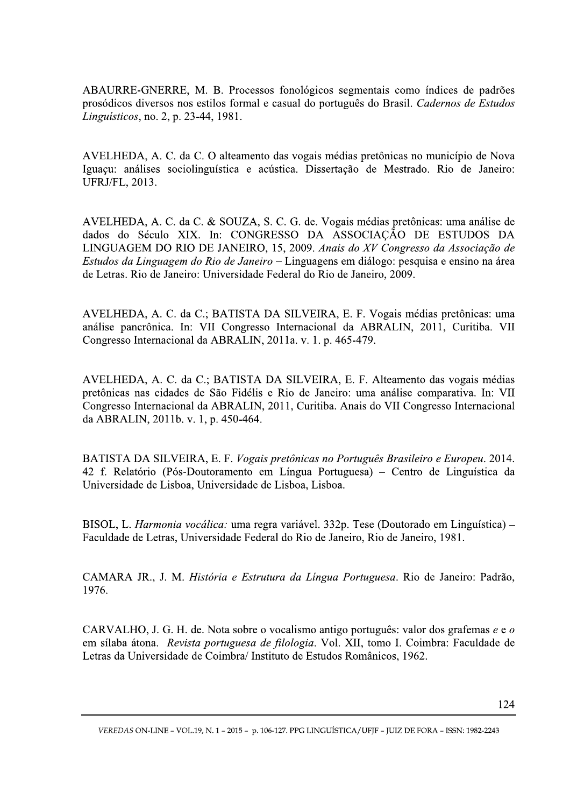ABAURRE-GNERRE, M. B. Processos fonológicos segmentais como índices de padrões prosódicos diversos nos estilos formal e casual do português do Brasil. Cadernos de Estudos Linguísticos, no. 2, p. 23-44, 1981.

AVELHEDA, A. C. da C. O alteamento das vogais médias pretônicas no município de Nova Iguaçu: análises sociolinguística e acústica. Dissertação de Mestrado. Rio de Janeiro: UFRJ/FL, 2013.

AVELHEDA, A. C. da C. & SOUZA, S. C. G. de. Vogais médias pretônicas: uma análise de dados do Século XIX. In: CONGRESSO DA ASSOCIAÇÃO DE ESTUDOS DA LINGUAGEM DO RIO DE JANEIRO, 15, 2009. Anais do XV Congresso da Associação de Estudos da Linguagem do Rio de Janeiro – Linguagens em diálogo: pesquisa e ensino na área de Letras. Rio de Janeiro: Universidade Federal do Rio de Janeiro, 2009.

AVELHEDA, A. C. da C.; BATISTA DA SILVEIRA, E. F. Vogais médias pretônicas: uma análise pancrônica. In: VII Congresso Internacional da ABRALIN, 2011, Curitiba. VII Congresso Internacional da ABRALIN, 2011a. v. 1. p. 465-479.

AVELHEDA, A. C. da C.; BATISTA DA SILVEIRA, E. F. Alteamento das vogais médias pretônicas nas cidades de São Fidélis e Rio de Janeiro: uma análise comparativa. In: VII Congresso Internacional da ABRALIN, 2011, Curitiba. Anais do VII Congresso Internacional da ABRALIN, 2011b. v. 1, p. 450-464.

BATISTA DA SILVEIRA, E. F. Vogais pretônicas no Português Brasileiro e Europeu. 2014. 42 f. Relatório (Pós-Doutoramento em Língua Portuguesa) – Centro de Linguística da Universidade de Lisboa, Universidade de Lisboa, Lisboa.

BISOL, L. Harmonia vocálica: uma regra variável. 332p. Tese (Doutorado em Linguística) – Faculdade de Letras, Universidade Federal do Rio de Janeiro, Rio de Janeiro, 1981.

CAMARA JR., J. M. História e Estrutura da Língua Portuguesa. Rio de Janeiro: Padrão, 1976.

CARVALHO, J. G. H. de. Nota sobre o vocalismo antigo português: valor dos grafemas e e o em sílaba átona. Revista portuguesa de filologia. Vol. XII, tomo I. Coimbra: Faculdade de Letras da Universidade de Coimbra/ Instituto de Estudos Românicos, 1962.

VEREDAS ON-LINE - VOL.19, N. 1 - 2015 - p. 106-127. PPG LINGUÍSTICA/UFIF - JUIZ DE FORA - ISSN: 1982-2243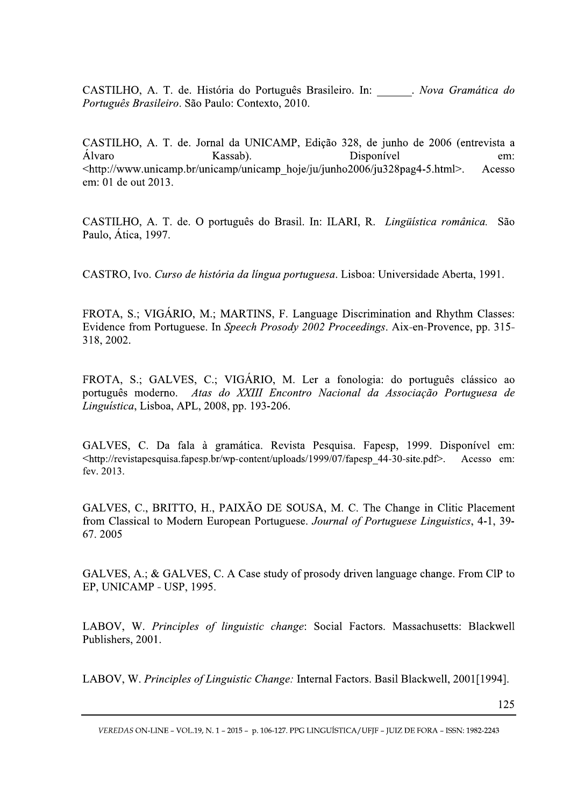CASTILHO, A. T. de. História do Português Brasileiro. In: Nova Gramática do Português Brasileiro. São Paulo: Contexto, 2010.

CASTILHO, A. T. de. Jornal da UNICAMP, Edição 328, de junho de 2006 (entrevista a Disponível **Álvaro** Kassab). em: <http://www.unicamp.br/unicamp/unicamp\_hoje/ju/junho2006/ju328pag4-5.html>. Acesso em: 01 de out 2013.

CASTILHO, A. T. de. O português do Brasil. In: ILARI, R. *Lingüística românica*. São Paulo, Ática, 1997.

CASTRO, Ivo. Curso de história da língua portuguesa. Lisboa: Universidade Aberta, 1991.

FROTA, S.; VIGÁRIO, M.; MARTINS, F. Language Discrimination and Rhythm Classes: Evidence from Portuguese. In Speech Prosody 2002 Proceedings. Aix-en-Provence, pp. 315-318, 2002.

FROTA, S.; GALVES, C.; VIGÁRIO, M. Ler a fonologia: do português clássico ao português moderno. Atas do XXIII Encontro Nacional da Associação Portuguesa de Linguística, Lisboa, APL, 2008, pp. 193-206.

GALVES, C. Da fala à gramática. Revista Pesquisa. Fapesp, 1999. Disponível em: <http://revistapesquisa.fapesp.br/wp-content/uploads/1999/07/fapesp 44-30-site.pdf>. Acesso em: fev. 2013.

GALVES, C., BRITTO, H., PAIXÃO DE SOUSA, M. C. The Change in Clitic Placement from Classical to Modern European Portuguese. Journal of Portuguese Linguistics, 4-1, 39-67.2005

GALVES, A.; & GALVES, C. A Case study of prosody driven language change. From CIP to EP, UNICAMP - USP, 1995.

LABOV, W. Principles of linguistic change: Social Factors. Massachusetts: Blackwell Publishers, 2001.

LABOV, W. Principles of Linguistic Change: Internal Factors. Basil Blackwell, 2001[1994].

VEREDAS ON-LINE - VOL.19, N. 1 - 2015 - p. 106-127. PPG LINGUÍSTICA/UFIF - JUIZ DE FORA - ISSN: 1982-2243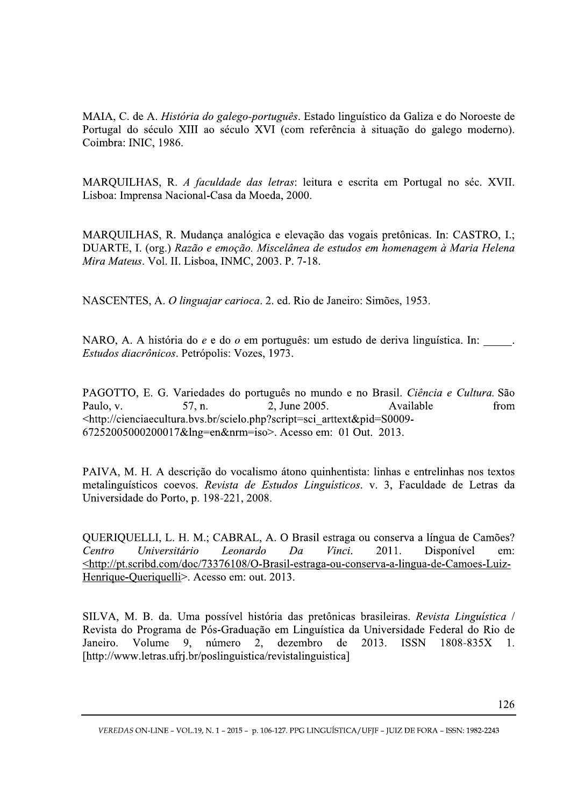MAIA, C. de A. História do galego-português. Estado linguístico da Galiza e do Noroeste de Portugal do século XIII ao século XVI (com referência à situação do galego moderno). Coimbra: INIC, 1986.

MARQUILHAS, R. A faculdade das letras: leitura e escrita em Portugal no séc. XVII. Lisboa: Imprensa Nacional-Casa da Moeda, 2000.

MARQUILHAS, R. Mudança analógica e elevação das vogais pretônicas. In: CASTRO, I.; DUARTE, I. (org.) Razão e emoção. Miscelânea de estudos em homenagem à Maria Helena Mira Mateus. Vol. II. Lisboa, INMC, 2003. P. 7-18.

NASCENTES, A. O linguajar carioca. 2. ed. Rio de Janeiro: Simões, 1953.

NARO, A. A história do e e do o em português: um estudo de deriva linguística. In: Estudos diacrônicos. Petrópolis: Vozes, 1973.

PAGOTTO, E. G. Variedades do português no mundo e no Brasil. Ciência e Cultura. São Paulo, v. 57, n. 2. June 2005. Available from Paulo, v.  $57$ , n.  $2$ , June 2005. Available from - http://cienciaecultura.bvs.br/scielo.php?script=sci\_arttext&pid=S0009- $67252005000200017\&\ln\frac{1}{2}$  hng=en $\&\ln\frac{1}{2}$  and  $\&\ln\frac{1}{2}$  are  $\&\ln\frac{1}{2}$  and  $\&\ln\frac{1}{2}$  are  $\&\ln\frac{1}{2}$  and  $\&\ln\frac{1}{2}$  are  $\&\ln\frac{1}{2}$  and  $\&\ln\frac{1}{2}$  are  $\&\ln\frac{1}{2}$  and  $\&\ln\frac{1}{2}$  are  $\&\$ 

PAIVA, M. H. A descrição do vocalismo átono quinhentista: linhas e entrelinhas nos textos metalinguísticos coevos. Revista de Estudos Linguísticos. v. 3, Faculdade de Letras da Universidade do Porto, p. 198-221, 2008.

QUERIQUELLI, L. H. M.; CABRAL, A. O Brasil estraga ou conserva a língua de Camões?<br>Centro Universitário Leonardo Da Vinci. 2011. Disponível em: Centro Universitario Leonardo Da Vinci. 2011. Disponivel em: <u>Khttp://pt.scribd.com/doc/73376108/O-Brasil-estraga-ou-conserva-a-lingua-de-Camoes-Luiz-</u> Henrique-Queriquelli>. Acesso em: out. 2013.

SILVA, M. B. da. Uma possível história das pretônicas brasileiras. Revista Linguística / Revista do Programa de Pós-Graduação em Linguística da Universidade Federal do Rio de Janeiro. Volume 9. número 2. dezembro de 2013. ISSN 1808-835X 1. Janeiro. Volume 9, numero 2, dezembro de 2013. ISSN 1808-835X 1. [http://www.letras.ufrj.br/poslinguistica/revistalinguistica]

VEREDAS ON-LINE – VOL.19, N. 1 – 2015 – p. 106-127. PPG LINGUISTICA/UFJF – JUIZ DE FORA – ISSN: 1982-2243  $\,$ GUÍSTICA/UFJF – JUIZ DE FORA – ISSN: 1982